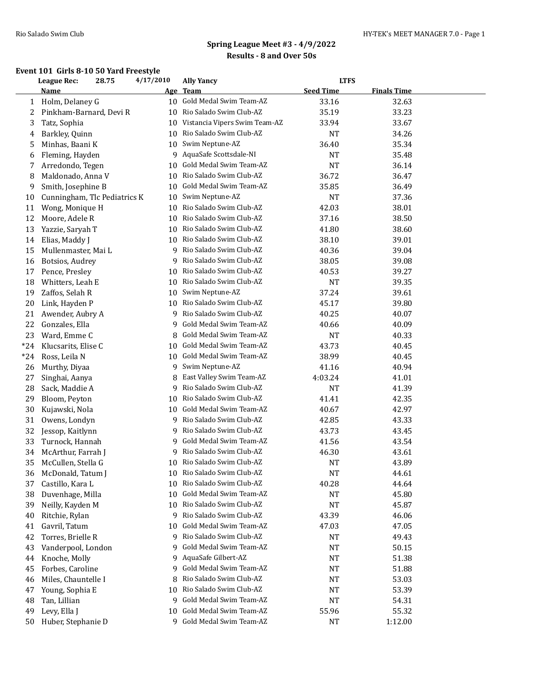### **Event 101 Girls 8-10 50 Yard Freestyle**

|       | League Rec:<br>28.75         |  | 4/17/2010  | <b>Ally Yancy</b>             | <b>LTFS</b>      |                    |  |  |
|-------|------------------------------|--|------------|-------------------------------|------------------|--------------------|--|--|
|       | <b>Name</b>                  |  | <u>Age</u> | <b>Team</b>                   | <b>Seed Time</b> | <b>Finals Time</b> |  |  |
| 1     | Holm, Delaney G              |  | 10         | Gold Medal Swim Team-AZ       | 33.16            | 32.63              |  |  |
| 2     | Pinkham-Barnard, Devi R      |  | 10         | Rio Salado Swim Club-AZ       | 35.19            | 33.23              |  |  |
| 3     | Tatz, Sophia                 |  | 10         | Vistancia Vipers Swim Team-AZ | 33.94            | 33.67              |  |  |
| 4     | Barkley, Quinn               |  | 10         | Rio Salado Swim Club-AZ       | <b>NT</b>        | 34.26              |  |  |
| 5     | Minhas, Baani K              |  | 10         | Swim Neptune-AZ               | 36.40            | 35.34              |  |  |
| 6     | Fleming, Hayden              |  | 9          | AquaSafe Scottsdale-NI        | NT               | 35.48              |  |  |
| 7     | Arredondo, Tegen             |  | 10         | Gold Medal Swim Team-AZ       | <b>NT</b>        | 36.14              |  |  |
| 8     | Maldonado, Anna V            |  | 10         | Rio Salado Swim Club-AZ       | 36.72            | 36.47              |  |  |
| 9     | Smith, Josephine B           |  | 10         | Gold Medal Swim Team-AZ       | 35.85            | 36.49              |  |  |
| 10    | Cunningham, Tlc Pediatrics K |  | 10         | Swim Neptune-AZ               | <b>NT</b>        | 37.36              |  |  |
| 11    | Wong, Monique H              |  | 10         | Rio Salado Swim Club-AZ       | 42.03            | 38.01              |  |  |
| 12    | Moore, Adele R               |  | 10         | Rio Salado Swim Club-AZ       | 37.16            | 38.50              |  |  |
| 13    | Yazzie, Saryah T             |  | 10         | Rio Salado Swim Club-AZ       | 41.80            | 38.60              |  |  |
| 14    | Elias, Maddy J               |  | 10         | Rio Salado Swim Club-AZ       | 38.10            | 39.01              |  |  |
| 15    | Mullenmaster, Mai L          |  | 9          | Rio Salado Swim Club-AZ       | 40.36            | 39.04              |  |  |
| 16    | Botsios, Audrey              |  | 9          | Rio Salado Swim Club-AZ       | 38.05            | 39.08              |  |  |
| 17    | Pence, Presley               |  | 10         | Rio Salado Swim Club-AZ       | 40.53            | 39.27              |  |  |
| 18    | Whitters, Leah E             |  | 10         | Rio Salado Swim Club-AZ       | <b>NT</b>        | 39.35              |  |  |
| 19    | Zaffos, Selah R              |  | 10         | Swim Neptune-AZ               | 37.24            | 39.61              |  |  |
| 20    | Link, Hayden P               |  | 10         | Rio Salado Swim Club-AZ       | 45.17            | 39.80              |  |  |
| 21    | Awender, Aubry A             |  | 9          | Rio Salado Swim Club-AZ       | 40.25            | 40.07              |  |  |
| 22    | Gonzales, Ella               |  | 9          | Gold Medal Swim Team-AZ       | 40.66            | 40.09              |  |  |
| 23    | Ward, Emme C                 |  | 8          | Gold Medal Swim Team-AZ       | NT               | 40.33              |  |  |
| $*24$ | Klucsarits, Elise C          |  | 10         | Gold Medal Swim Team-AZ       | 43.73            | 40.45              |  |  |
| $*24$ | Ross, Leila N                |  | 10         | Gold Medal Swim Team-AZ       | 38.99            | 40.45              |  |  |
| 26    | Murthy, Diyaa                |  | 9          | Swim Neptune-AZ               | 41.16            | 40.94              |  |  |
| 27    | Singhai, Aanya               |  | 8          | East Valley Swim Team-AZ      | 4:03.24          | 41.01              |  |  |
| 28    | Sack, Maddie A               |  | 9          | Rio Salado Swim Club-AZ       | NT               | 41.39              |  |  |
| 29    | Bloom, Peyton                |  | 10         | Rio Salado Swim Club-AZ       | 41.41            | 42.35              |  |  |
| 30    | Kujawski, Nola               |  | 10         | Gold Medal Swim Team-AZ       | 40.67            | 42.97              |  |  |
| 31    | Owens, Londyn                |  | 9          | Rio Salado Swim Club-AZ       | 42.85            | 43.33              |  |  |
| 32    | Jessop, Kaitlynn             |  | 9          | Rio Salado Swim Club-AZ       | 43.73            | 43.45              |  |  |
| 33    | Turnock, Hannah              |  | 9          | Gold Medal Swim Team-AZ       | 41.56            | 43.54              |  |  |
| 34    | McArthur, Farrah J           |  | 9          | Rio Salado Swim Club-AZ       | 46.30            | 43.61              |  |  |
| 35    | McCullen, Stella G           |  | 10         | Rio Salado Swim Club-AZ       | <b>NT</b>        | 43.89              |  |  |
| 36    | McDonald, Tatum J            |  | 10         | Rio Salado Swim Club-AZ       | NT               | 44.61              |  |  |
| 37    | Castillo, Kara L             |  | 10         | Rio Salado Swim Club-AZ       | 40.28            | 44.64              |  |  |
| 38    | Duvenhage, Milla             |  | 10         | Gold Medal Swim Team-AZ       | NT               | 45.80              |  |  |
| 39    | Neilly, Kayden M             |  | 10         | Rio Salado Swim Club-AZ       | NT               | 45.87              |  |  |
| 40    | Ritchie, Rylan               |  | 9          | Rio Salado Swim Club-AZ       | 43.39            | 46.06              |  |  |
| 41    | Gavril, Tatum                |  | 10         | Gold Medal Swim Team-AZ       | 47.03            | 47.05              |  |  |
| 42    | Torres, Brielle R            |  | 9          | Rio Salado Swim Club-AZ       | NT               | 49.43              |  |  |
| 43    | Vanderpool, London           |  | 9          | Gold Medal Swim Team-AZ       | NT               | 50.15              |  |  |
| 44    | Knoche, Molly                |  | 9          | AquaSafe Gilbert-AZ           | NT               | 51.38              |  |  |
| 45    | Forbes, Caroline             |  | 9          | Gold Medal Swim Team-AZ       | NT               | 51.88              |  |  |
| 46    | Miles, Chauntelle I          |  | 8          | Rio Salado Swim Club-AZ       | NT               | 53.03              |  |  |
| 47    | Young, Sophia E              |  | 10         | Rio Salado Swim Club-AZ       | NT               | 53.39              |  |  |
| 48    | Tan, Lillian                 |  | 9          | Gold Medal Swim Team-AZ       | NT               | 54.31              |  |  |
| 49    | Levy, Ella J                 |  | 10         | Gold Medal Swim Team-AZ       | 55.96            | 55.32              |  |  |
| 50    | Huber, Stephanie D           |  | 9          | Gold Medal Swim Team-AZ       | NT               | 1:12.00            |  |  |
|       |                              |  |            |                               |                  |                    |  |  |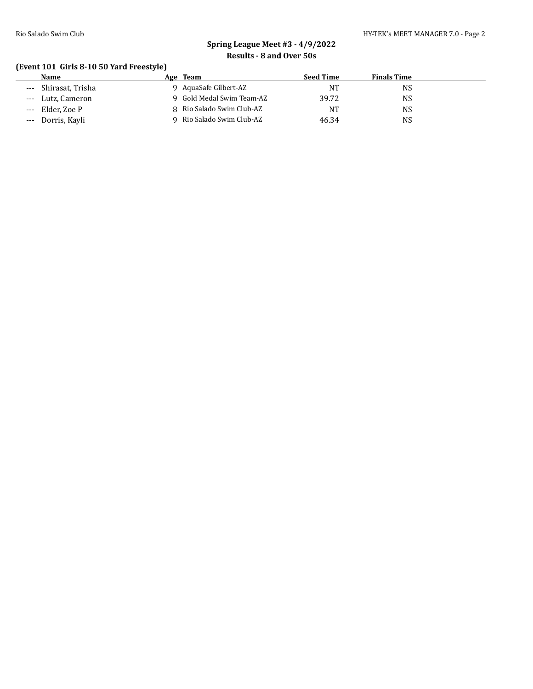#### Rio Salado Swim Club **HY-TEK's MEET MANAGER 7.0** - Page 2

# **Spring League Meet #3 - 4/9/2022 Results - 8 and Over 50s**

### **(Event 101 Girls 8-10 50 Yard Freestyle)**

|       | Name              | Age Team                  | <b>Seed Time</b> | <b>Finals Time</b> |
|-------|-------------------|---------------------------|------------------|--------------------|
| $---$ | Shirasat, Trisha  | AquaSafe Gilbert-AZ       | <b>NT</b>        | NS                 |
|       | --- Lutz, Cameron | 9 Gold Medal Swim Team-AZ | 39.72            | NS                 |
| $---$ | Elder. Zoe P      | 8 Rio Salado Swim Club-AZ | NT               | NS                 |
| $---$ | Dorris, Kavli     | Rio Salado Swim Club-AZ   | 46.34            | NS                 |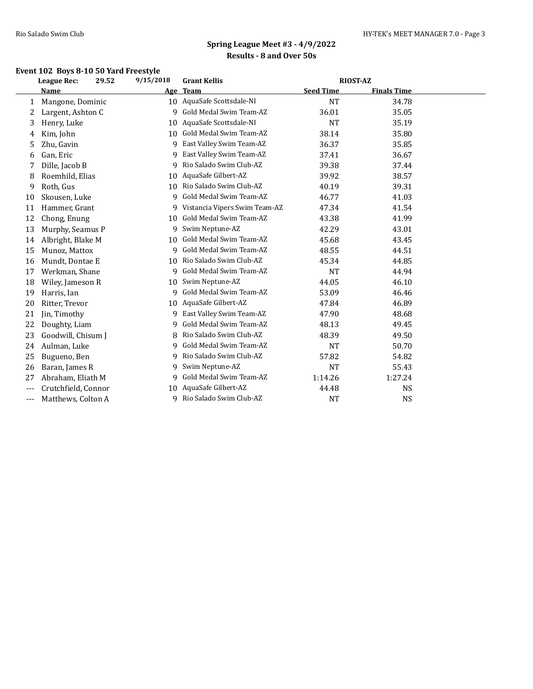## **Event 102 Boys 8-10 50 Yard Freestyle**

|       | League Rec:         | 29.52 | 9/15/2018 | <b>Grant Kellis</b>           | <b>RIOST-AZ</b>  |                    |  |
|-------|---------------------|-------|-----------|-------------------------------|------------------|--------------------|--|
|       | Name                |       | Age       | <b>Team</b>                   | <b>Seed Time</b> | <b>Finals Time</b> |  |
| 1     | Mangone, Dominic    |       | 10        | AquaSafe Scottsdale-NI        | <b>NT</b>        | 34.78              |  |
| 2     | Largent, Ashton C   |       | q         | Gold Medal Swim Team-AZ       | 36.01            | 35.05              |  |
| 3     | Henry, Luke         |       | 10        | AquaSafe Scottsdale-NI        | <b>NT</b>        | 35.19              |  |
| 4     | Kim, John           |       | 10        | Gold Medal Swim Team-AZ       | 38.14            | 35.80              |  |
| 5     | Zhu, Gavin          |       | q         | East Valley Swim Team-AZ      | 36.37            | 35.85              |  |
| 6     | Gan, Eric           |       | 9         | East Valley Swim Team-AZ      | 37.41            | 36.67              |  |
| 7     | Dille, Jacob B      |       | 9         | Rio Salado Swim Club-AZ       | 39.38            | 37.44              |  |
| 8     | Roemhild, Elias     |       | 10        | AquaSafe Gilbert-AZ           | 39.92            | 38.57              |  |
| 9     | Roth, Gus           |       | 10        | Rio Salado Swim Club-AZ       | 40.19            | 39.31              |  |
| 10    | Skousen, Luke       |       | 9         | Gold Medal Swim Team-AZ       | 46.77            | 41.03              |  |
| 11    | Hammer, Grant       |       | 9         | Vistancia Vipers Swim Team-AZ | 47.34            | 41.54              |  |
| 12    | Chong, Enung        |       | 10        | Gold Medal Swim Team-AZ       | 43.38            | 41.99              |  |
| 13    | Murphy, Seamus P    |       | 9         | Swim Neptune-AZ               | 42.29            | 43.01              |  |
| 14    | Albright, Blake M   |       | 10        | Gold Medal Swim Team-AZ       | 45.68            | 43.45              |  |
| 15    | Munoz, Mattox       |       | 9         | Gold Medal Swim Team-AZ       | 48.55            | 44.51              |  |
| 16    | Mundt, Dontae E     |       | 10        | Rio Salado Swim Club-AZ       | 45.34            | 44.85              |  |
| 17    | Werkman, Shane      |       | 9         | Gold Medal Swim Team-AZ       | <b>NT</b>        | 44.94              |  |
| 18    | Wiley, Jameson R    |       | 10        | Swim Neptune-AZ               | 44.05            | 46.10              |  |
| 19    | Harris, Ian         |       | 9         | Gold Medal Swim Team-AZ       | 53.09            | 46.46              |  |
| 20    | Ritter, Trevor      |       | 10        | AquaSafe Gilbert-AZ           | 47.84            | 46.89              |  |
| 21    | Jin, Timothy        |       | 9         | East Valley Swim Team-AZ      | 47.90            | 48.68              |  |
| 22    | Doughty, Liam       |       | 9         | Gold Medal Swim Team-AZ       | 48.13            | 49.45              |  |
| 23    | Goodwill, Chisum J  |       | 8         | Rio Salado Swim Club-AZ       | 48.39            | 49.50              |  |
| 24    | Aulman, Luke        |       | q         | Gold Medal Swim Team-AZ       | <b>NT</b>        | 50.70              |  |
| 25    | Bugueno, Ben        |       | 9         | Rio Salado Swim Club-AZ       | 57.82            | 54.82              |  |
| 26    | Baran, James R      |       | 9         | Swim Neptune-AZ               | <b>NT</b>        | 55.43              |  |
| 27    | Abraham, Eliath M   |       | 9         | Gold Medal Swim Team-AZ       | 1:14.26          | 1:27.24            |  |
| ---   | Crutchfield, Connor |       | 10        | AquaSafe Gilbert-AZ           | 44.48            | <b>NS</b>          |  |
| $---$ | Matthews, Colton A  |       | q         | Rio Salado Swim Club-AZ       | <b>NT</b>        | <b>NS</b>          |  |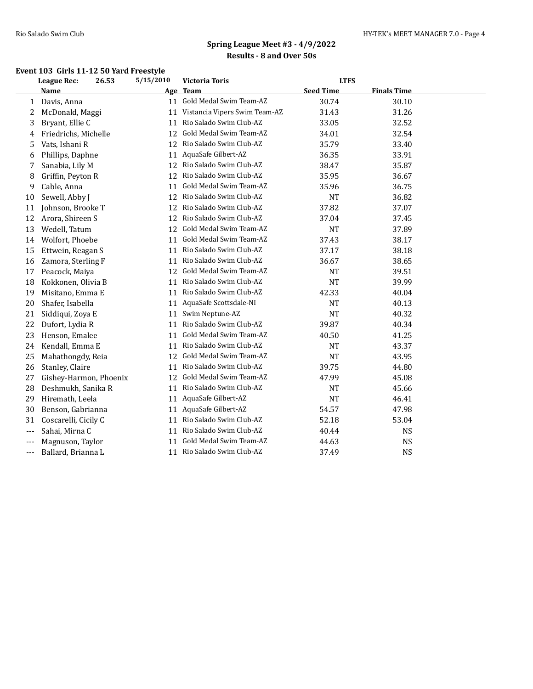### **Event 103 Girls 11-12 50 Yard Freestyle**

|       | 5/15/2010<br><b>LTFS</b><br><b>League Rec:</b><br>26.53<br><b>Victoria Toris</b> |    |                               |                  |                    |  |
|-------|----------------------------------------------------------------------------------|----|-------------------------------|------------------|--------------------|--|
|       | <b>Name</b>                                                                      |    | Age Team                      | <b>Seed Time</b> | <b>Finals Time</b> |  |
| 1     | Davis, Anna                                                                      | 11 | Gold Medal Swim Team-AZ       | 30.74            | 30.10              |  |
| 2     | McDonald, Maggi                                                                  | 11 | Vistancia Vipers Swim Team-AZ | 31.43            | 31.26              |  |
| 3     | Bryant, Ellie C                                                                  | 11 | Rio Salado Swim Club-AZ       | 33.05            | 32.52              |  |
| 4     | Friedrichs, Michelle                                                             | 12 | Gold Medal Swim Team-AZ       | 34.01            | 32.54              |  |
| 5     | Vats, Ishani R                                                                   | 12 | Rio Salado Swim Club-AZ       | 35.79            | 33.40              |  |
| 6     | Phillips, Daphne                                                                 | 11 | AquaSafe Gilbert-AZ           | 36.35            | 33.91              |  |
| 7     | Sanabia, Lily M                                                                  | 12 | Rio Salado Swim Club-AZ       | 38.47            | 35.87              |  |
| 8     | Griffin, Peyton R                                                                | 12 | Rio Salado Swim Club-AZ       | 35.95            | 36.67              |  |
| 9     | Cable, Anna                                                                      | 11 | Gold Medal Swim Team-AZ       | 35.96            | 36.75              |  |
| 10    | Sewell, Abby J                                                                   | 12 | Rio Salado Swim Club-AZ       | <b>NT</b>        | 36.82              |  |
| 11    | Johnson, Brooke T                                                                | 12 | Rio Salado Swim Club-AZ       | 37.82            | 37.07              |  |
| 12    | Arora, Shireen S                                                                 | 12 | Rio Salado Swim Club-AZ       | 37.04            | 37.45              |  |
| 13    | Wedell, Tatum                                                                    | 12 | Gold Medal Swim Team-AZ       | <b>NT</b>        | 37.89              |  |
| 14    | Wolfort, Phoebe                                                                  | 11 | Gold Medal Swim Team-AZ       | 37.43            | 38.17              |  |
| 15    | Ettwein, Reagan S                                                                | 11 | Rio Salado Swim Club-AZ       | 37.17            | 38.18              |  |
| 16    | Zamora, Sterling F                                                               | 11 | Rio Salado Swim Club-AZ       | 36.67            | 38.65              |  |
| 17    | Peacock, Maiya                                                                   | 12 | Gold Medal Swim Team-AZ       | NT               | 39.51              |  |
| 18    | Kokkonen, Olivia B                                                               | 11 | Rio Salado Swim Club-AZ       | <b>NT</b>        | 39.99              |  |
| 19    | Misitano, Emma E                                                                 | 11 | Rio Salado Swim Club-AZ       | 42.33            | 40.04              |  |
| 20    | Shafer, Isabella                                                                 | 11 | AquaSafe Scottsdale-NI        | <b>NT</b>        | 40.13              |  |
| 21    | Siddiqui, Zoya E                                                                 | 11 | Swim Neptune-AZ               | <b>NT</b>        | 40.32              |  |
| 22    | Dufort, Lydia R                                                                  | 11 | Rio Salado Swim Club-AZ       | 39.87            | 40.34              |  |
| 23    | Henson, Emalee                                                                   | 11 | Gold Medal Swim Team-AZ       | 40.50            | 41.25              |  |
| 24    | Kendall, Emma E                                                                  | 11 | Rio Salado Swim Club-AZ       | <b>NT</b>        | 43.37              |  |
| 25    | Mahathongdy, Reia                                                                | 12 | Gold Medal Swim Team-AZ       | <b>NT</b>        | 43.95              |  |
| 26    | Stanley, Claire                                                                  | 11 | Rio Salado Swim Club-AZ       | 39.75            | 44.80              |  |
| 27    | Gishey-Harmon, Phoenix                                                           | 12 | Gold Medal Swim Team-AZ       | 47.99            | 45.08              |  |
| 28    | Deshmukh, Sanika R                                                               | 11 | Rio Salado Swim Club-AZ       | NT               | 45.66              |  |
| 29    | Hiremath, Leela                                                                  | 11 | AquaSafe Gilbert-AZ           | <b>NT</b>        | 46.41              |  |
| 30    | Benson, Gabrianna                                                                | 11 | AquaSafe Gilbert-AZ           | 54.57            | 47.98              |  |
| 31    | Coscarelli, Cicily C                                                             | 11 | Rio Salado Swim Club-AZ       | 52.18            | 53.04              |  |
| ---   | Sahai, Mirna C                                                                   | 11 | Rio Salado Swim Club-AZ       | 40.44            | <b>NS</b>          |  |
| $---$ | Magnuson, Taylor                                                                 | 11 | Gold Medal Swim Team-AZ       | 44.63            | <b>NS</b>          |  |
| ---   | Ballard, Brianna L                                                               |    | 11 Rio Salado Swim Club-AZ    | 37.49            | <b>NS</b>          |  |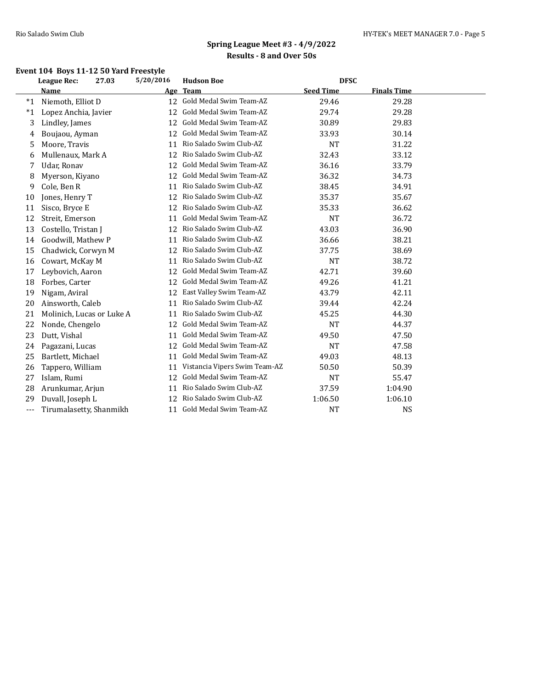## **Event 104 Boys 11-12 50 Yard Freestyle**

|       | League Rec:               | 27.03 | 5/20/2016       | <b>Hudson Boe</b>             | <b>DFSC</b>      |                    |  |
|-------|---------------------------|-------|-----------------|-------------------------------|------------------|--------------------|--|
|       | Name                      |       | Age             | <b>Team</b>                   | <b>Seed Time</b> | <b>Finals Time</b> |  |
| $*1$  | Niemoth, Elliot D         |       | 12 <sup>1</sup> | Gold Medal Swim Team-AZ       | 29.46            | 29.28              |  |
| $^*1$ | Lopez Anchia, Javier      |       | 12              | Gold Medal Swim Team-AZ       | 29.74            | 29.28              |  |
| 3     | Lindley, James            |       | 12              | Gold Medal Swim Team-AZ       | 30.89            | 29.83              |  |
| 4     | Boujaou, Ayman            |       | 12              | Gold Medal Swim Team-AZ       | 33.93            | 30.14              |  |
| 5     | Moore, Travis             |       | 11              | Rio Salado Swim Club-AZ       | <b>NT</b>        | 31.22              |  |
| 6     | Mullenaux, Mark A         |       | 12              | Rio Salado Swim Club-AZ       | 32.43            | 33.12              |  |
| 7     | Udar, Ronav               |       | 12              | Gold Medal Swim Team-AZ       | 36.16            | 33.79              |  |
| 8     | Myerson, Kiyano           |       | 12              | Gold Medal Swim Team-AZ       | 36.32            | 34.73              |  |
| 9     | Cole, Ben R               |       | 11              | Rio Salado Swim Club-AZ       | 38.45            | 34.91              |  |
| 10    | Jones, Henry T            |       | 12              | Rio Salado Swim Club-AZ       | 35.37            | 35.67              |  |
| 11    | Sisco, Bryce E            |       | 12              | Rio Salado Swim Club-AZ       | 35.33            | 36.62              |  |
| 12    | Streit, Emerson           |       | 11              | Gold Medal Swim Team-AZ       | <b>NT</b>        | 36.72              |  |
| 13    | Costello, Tristan J       |       | 12              | Rio Salado Swim Club-AZ       | 43.03            | 36.90              |  |
| 14    | Goodwill, Mathew P        |       | 11              | Rio Salado Swim Club-AZ       | 36.66            | 38.21              |  |
| 15    | Chadwick, Corwyn M        |       | 12              | Rio Salado Swim Club-AZ       | 37.75            | 38.69              |  |
| 16    | Cowart, McKay M           |       | 11              | Rio Salado Swim Club-AZ       | <b>NT</b>        | 38.72              |  |
| 17    | Leybovich, Aaron          |       | 12              | Gold Medal Swim Team-AZ       | 42.71            | 39.60              |  |
| 18    | Forbes, Carter            |       | 12              | Gold Medal Swim Team-AZ       | 49.26            | 41.21              |  |
| 19    | Nigam, Aviral             |       | 12              | East Valley Swim Team-AZ      | 43.79            | 42.11              |  |
| 20    | Ainsworth, Caleb          |       | 11              | Rio Salado Swim Club-AZ       | 39.44            | 42.24              |  |
| 21    | Molinich, Lucas or Luke A |       | 11              | Rio Salado Swim Club-AZ       | 45.25            | 44.30              |  |
| 22    | Nonde, Chengelo           |       | 12              | Gold Medal Swim Team-AZ       | <b>NT</b>        | 44.37              |  |
| 23    | Dutt, Vishal              |       | 11              | Gold Medal Swim Team-AZ       | 49.50            | 47.50              |  |
| 24    | Pagazani, Lucas           |       | 12              | Gold Medal Swim Team-AZ       | <b>NT</b>        | 47.58              |  |
| 25    | Bartlett, Michael         |       | 11              | Gold Medal Swim Team-AZ       | 49.03            | 48.13              |  |
| 26    | Tappero, William          |       | 11              | Vistancia Vipers Swim Team-AZ | 50.50            | 50.39              |  |
| 27    | Islam, Rumi               |       | 12              | Gold Medal Swim Team-AZ       | <b>NT</b>        | 55.47              |  |
| 28    | Arunkumar, Arjun          |       | 11              | Rio Salado Swim Club-AZ       | 37.59            | 1:04.90            |  |
| 29    | Duvall, Joseph L          |       | 12              | Rio Salado Swim Club-AZ       | 1:06.50          | 1:06.10            |  |
| $---$ | Tirumalasetty, Shanmikh   |       | 11              | Gold Medal Swim Team-AZ       | <b>NT</b>        | <b>NS</b>          |  |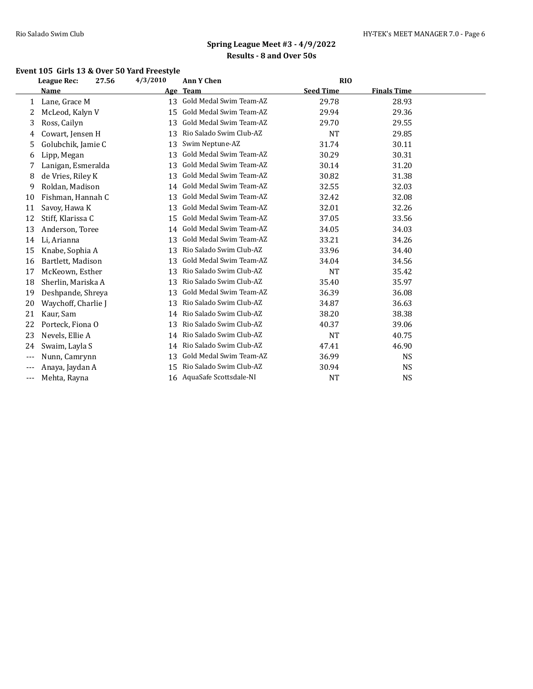### **Event 105 Girls 13 & Over 50 Yard Freestyle**

|       | League Rec:         | 27.56 | 4/3/2010 | <b>Ann Y Chen</b>       | <b>RIO</b>       |                    |  |
|-------|---------------------|-------|----------|-------------------------|------------------|--------------------|--|
|       | <b>Name</b>         |       | Age      | <b>Team</b>             | <b>Seed Time</b> | <b>Finals Time</b> |  |
| 1     | Lane, Grace M       |       | 13       | Gold Medal Swim Team-AZ | 29.78            | 28.93              |  |
| 2     | McLeod, Kalyn V     |       | 15       | Gold Medal Swim Team-AZ | 29.94            | 29.36              |  |
| 3     | Ross, Cailyn        |       | 13       | Gold Medal Swim Team-AZ | 29.70            | 29.55              |  |
| 4     | Cowart, Jensen H    |       | 13       | Rio Salado Swim Club-AZ | <b>NT</b>        | 29.85              |  |
| 5     | Golubchik, Jamie C  |       | 13       | Swim Neptune-AZ         | 31.74            | 30.11              |  |
| 6     | Lipp, Megan         |       | 13       | Gold Medal Swim Team-AZ | 30.29            | 30.31              |  |
| 7     | Lanigan, Esmeralda  |       | 13       | Gold Medal Swim Team-AZ | 30.14            | 31.20              |  |
| 8     | de Vries, Riley K   |       | 13       | Gold Medal Swim Team-AZ | 30.82            | 31.38              |  |
| 9     | Roldan, Madison     |       | 14       | Gold Medal Swim Team-AZ | 32.55            | 32.03              |  |
| 10    | Fishman, Hannah C   |       | 13       | Gold Medal Swim Team-AZ | 32.42            | 32.08              |  |
| 11    | Savoy, Hawa K       |       | 13       | Gold Medal Swim Team-AZ | 32.01            | 32.26              |  |
| 12    | Stiff, Klarissa C   |       | 15       | Gold Medal Swim Team-AZ | 37.05            | 33.56              |  |
| 13    | Anderson, Toree     |       | 14       | Gold Medal Swim Team-AZ | 34.05            | 34.03              |  |
| 14    | Li, Arianna         |       | 13       | Gold Medal Swim Team-AZ | 33.21            | 34.26              |  |
| 15    | Knabe, Sophia A     |       | 13       | Rio Salado Swim Club-AZ | 33.96            | 34.40              |  |
| 16    | Bartlett, Madison   |       | 13       | Gold Medal Swim Team-AZ | 34.04            | 34.56              |  |
| 17    | McKeown, Esther     |       | 13       | Rio Salado Swim Club-AZ | <b>NT</b>        | 35.42              |  |
| 18    | Sherlin, Mariska A  |       | 13       | Rio Salado Swim Club-AZ | 35.40            | 35.97              |  |
| 19    | Deshpande, Shreya   |       | 13       | Gold Medal Swim Team-AZ | 36.39            | 36.08              |  |
| 20    | Waychoff, Charlie J |       | 13       | Rio Salado Swim Club-AZ | 34.87            | 36.63              |  |
| 21    | Kaur, Sam           |       | 14       | Rio Salado Swim Club-AZ | 38.20            | 38.38              |  |
| 22    | Porteck, Fiona O    |       | 13       | Rio Salado Swim Club-AZ | 40.37            | 39.06              |  |
| 23    | Nevels, Ellie A     |       | 14       | Rio Salado Swim Club-AZ | <b>NT</b>        | 40.75              |  |
| 24    | Swaim, Layla S      |       | 14       | Rio Salado Swim Club-AZ | 47.41            | 46.90              |  |
| $---$ | Nunn, Camrynn       |       | 13       | Gold Medal Swim Team-AZ | 36.99            | <b>NS</b>          |  |
| ---   | Anaya, Jaydan A     |       | 15       | Rio Salado Swim Club-AZ | 30.94            | NS                 |  |
| $---$ | Mehta, Rayna        |       | 16       | AquaSafe Scottsdale-NI  | <b>NT</b>        | <b>NS</b>          |  |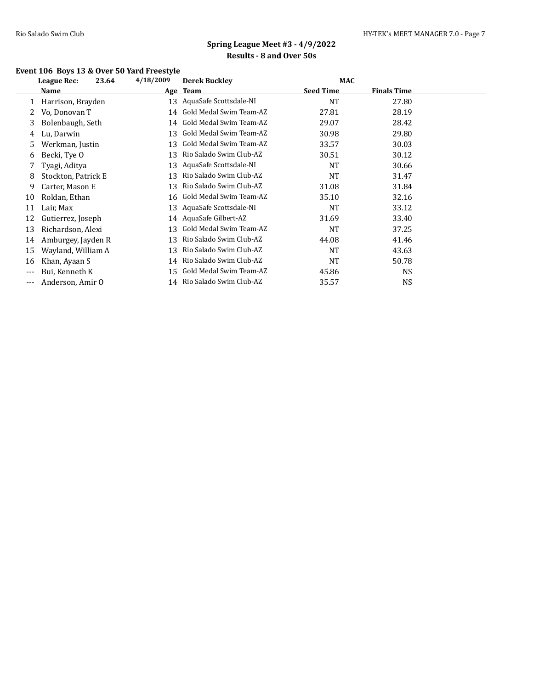## **Event 106 Boys 13 & Over 50 Yard Freestyle**

|     | <b>League Rec:</b>  | 23.64 | 4/18/2009 | <b>Derek Buckley</b>       | <b>MAC</b>       |                    |  |
|-----|---------------------|-------|-----------|----------------------------|------------------|--------------------|--|
|     | Name                |       |           | Age Team                   | <b>Seed Time</b> | <b>Finals Time</b> |  |
|     | Harrison, Brayden   |       | 13        | AquaSafe Scottsdale-NI     | <b>NT</b>        | 27.80              |  |
|     | Vo, Donovan T       |       | 14        | Gold Medal Swim Team-AZ    | 27.81            | 28.19              |  |
| 3.  | Bolenbaugh, Seth    |       | 14        | Gold Medal Swim Team-AZ    | 29.07            | 28.42              |  |
| 4   | Lu, Darwin          |       | 13        | Gold Medal Swim Team-AZ    | 30.98            | 29.80              |  |
| 5.  | Werkman, Justin     |       | 13        | Gold Medal Swim Team-AZ    | 33.57            | 30.03              |  |
| 6   | Becki, Tye O        |       | 13        | Rio Salado Swim Club-AZ    | 30.51            | 30.12              |  |
|     | Tyagi, Aditya       |       | 13        | AquaSafe Scottsdale-NI     | <b>NT</b>        | 30.66              |  |
| 8   | Stockton, Patrick E |       | 13        | Rio Salado Swim Club-AZ    | <b>NT</b>        | 31.47              |  |
| 9   | Carter, Mason E     |       | 13        | Rio Salado Swim Club-AZ    | 31.08            | 31.84              |  |
| 10  | Roldan, Ethan       |       | 16        | Gold Medal Swim Team-AZ    | 35.10            | 32.16              |  |
| 11  | Lair, Max           |       | 13        | AquaSafe Scottsdale-NI     | <b>NT</b>        | 33.12              |  |
| 12  | Gutierrez, Joseph   |       | 14        | AquaSafe Gilbert-AZ        | 31.69            | 33.40              |  |
| 13  | Richardson, Alexi   |       | 13        | Gold Medal Swim Team-AZ    | <b>NT</b>        | 37.25              |  |
| 14  | Amburgey, Jayden R  |       | 13        | Rio Salado Swim Club-AZ    | 44.08            | 41.46              |  |
| 15  | Wayland, William A  |       | 13        | Rio Salado Swim Club-AZ    | <b>NT</b>        | 43.63              |  |
| 16  | Khan, Ayaan S       |       | 14        | Rio Salado Swim Club-AZ    | <b>NT</b>        | 50.78              |  |
| --- | Bui, Kenneth K      |       | 15        | Gold Medal Swim Team-AZ    | 45.86            | <b>NS</b>          |  |
| --- | Anderson, Amir O    |       |           | 14 Rio Salado Swim Club-AZ | 35.57            | <b>NS</b>          |  |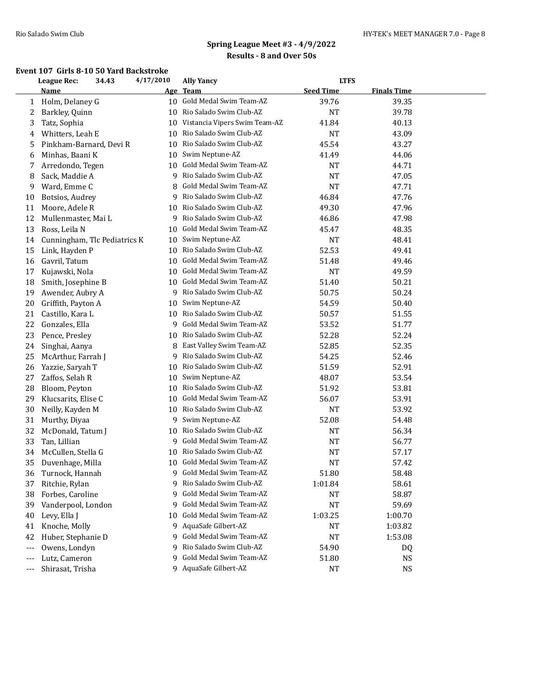#### **Event 107 Girls 8-10 50 Yard Backstroke**

|     | <b>League Rec:</b>           | 34.43 | 4/17/2010 | <b>Ally Yancy</b>             | <b>LTFS</b>      |                    |  |
|-----|------------------------------|-------|-----------|-------------------------------|------------------|--------------------|--|
|     | Name                         |       | Age       | <b>Team</b>                   | <b>Seed Time</b> | <b>Finals Time</b> |  |
| 1   | Holm, Delaney G              |       | 10        | Gold Medal Swim Team-AZ       | 39.76            | 39.35              |  |
| 2   | Barkley, Quinn               |       | 10        | Rio Salado Swim Club-AZ       | <b>NT</b>        | 39.78              |  |
| 3   | Tatz, Sophia                 |       | 10        | Vistancia Vipers Swim Team-AZ | 41.84            | 40.13              |  |
| 4   | Whitters, Leah E             |       | 10        | Rio Salado Swim Club-AZ       | <b>NT</b>        | 43.09              |  |
| 5   | Pinkham-Barnard, Devi R      |       | 10        | Rio Salado Swim Club-AZ       | 45.54            | 43.27              |  |
| 6   | Minhas, Baani K              |       | 10        | Swim Neptune-AZ               | 41.49            | 44.06              |  |
| 7   | Arredondo, Tegen             |       | 10        | Gold Medal Swim Team-AZ       | <b>NT</b>        | 44.71              |  |
| 8   | Sack, Maddie A               |       | 9         | Rio Salado Swim Club-AZ       | <b>NT</b>        | 47.05              |  |
| 9   | Ward, Emme C                 |       | 8         | Gold Medal Swim Team-AZ       | <b>NT</b>        | 47.71              |  |
| 10  | Botsios, Audrey              |       | 9         | Rio Salado Swim Club-AZ       | 46.84            | 47.76              |  |
| 11  | Moore, Adele R               |       | 10        | Rio Salado Swim Club-AZ       | 49.30            | 47.96              |  |
| 12  | Mullenmaster, Mai L          |       | 9         | Rio Salado Swim Club-AZ       | 46.86            | 47.98              |  |
| 13  | Ross, Leila N                |       | 10        | Gold Medal Swim Team-AZ       | 45.47            | 48.35              |  |
| 14  | Cunningham, Tlc Pediatrics K |       | 10        | Swim Neptune-AZ               | <b>NT</b>        | 48.41              |  |
| 15  | Link, Hayden P               |       | 10        | Rio Salado Swim Club-AZ       | 52.53            | 49.41              |  |
| 16  | Gavril, Tatum                |       | 10        | Gold Medal Swim Team-AZ       | 51.48            | 49.46              |  |
| 17  | Kujawski, Nola               |       | 10        | Gold Medal Swim Team-AZ       | <b>NT</b>        | 49.59              |  |
| 18  | Smith, Josephine B           |       | 10        | Gold Medal Swim Team-AZ       | 51.40            | 50.21              |  |
| 19  | Awender, Aubry A             |       | 9         | Rio Salado Swim Club-AZ       | 50.75            | 50.24              |  |
| 20  | Griffith, Payton A           |       | 10        | Swim Neptune-AZ               | 54.59            | 50.40              |  |
| 21  | Castillo, Kara L             |       | 10        | Rio Salado Swim Club-AZ       | 50.57            | 51.55              |  |
| 22  | Gonzales, Ella               |       | 9         | Gold Medal Swim Team-AZ       | 53.52            | 51.77              |  |
| 23  | Pence, Presley               |       | 10        | Rio Salado Swim Club-AZ       | 52.28            | 52.24              |  |
| 24  | Singhai, Aanya               |       | 8         | East Valley Swim Team-AZ      | 52.85            | 52.35              |  |
| 25  | McArthur, Farrah J           |       | 9         | Rio Salado Swim Club-AZ       | 54.25            | 52.46              |  |
| 26  | Yazzie, Saryah T             |       | 10        | Rio Salado Swim Club-AZ       | 51.59            | 52.91              |  |
| 27  | Zaffos, Selah R              |       | 10        | Swim Neptune-AZ               | 48.07            | 53.54              |  |
| 28  | Bloom, Peyton                |       | 10        | Rio Salado Swim Club-AZ       | 51.92            | 53.81              |  |
| 29  | Klucsarits, Elise C          |       | 10        | Gold Medal Swim Team-AZ       | 56.07            | 53.91              |  |
| 30  | Neilly, Kayden M             |       | 10        | Rio Salado Swim Club-AZ       | <b>NT</b>        | 53.92              |  |
| 31  | Murthy, Diyaa                |       | 9         | Swim Neptune-AZ               | 52.08            | 54.48              |  |
| 32  | McDonald, Tatum J            |       | 10        | Rio Salado Swim Club-AZ       | <b>NT</b>        | 56.34              |  |
| 33  | Tan, Lillian                 |       | 9         | Gold Medal Swim Team-AZ       | <b>NT</b>        | 56.77              |  |
| 34  | McCullen, Stella G           |       | 10        | Rio Salado Swim Club-AZ       | <b>NT</b>        | 57.17              |  |
| 35  | Duvenhage, Milla             |       | 10        | Gold Medal Swim Team-AZ       | <b>NT</b>        | 57.42              |  |
| 36  | Turnock, Hannah              |       | 9         | Gold Medal Swim Team-AZ       | 51.80            | 58.48              |  |
| 37  | Ritchie, Rylan               |       | 9         | Rio Salado Swim Club-AZ       | 1:01.84          | 58.61              |  |
| 38  | Forbes, Caroline             |       | 9         | Gold Medal Swim Team-AZ       | NT               | 58.87              |  |
| 39  | Vanderpool, London           |       | 9         | Gold Medal Swim Team-AZ       | NT               | 59.69              |  |
| 40  | Levy, Ella J                 |       | 10        | Gold Medal Swim Team-AZ       | 1:03.25          | 1:00.70            |  |
| 41  | Knoche, Molly                |       | 9         | AquaSafe Gilbert-AZ           | NT               | 1:03.82            |  |
| 42  | Huber, Stephanie D           |       | 9         | Gold Medal Swim Team-AZ       | NT               | 1:53.08            |  |
| --- | Owens, Londyn                |       | 9         | Rio Salado Swim Club-AZ       | 54.90            | DQ                 |  |
| --- | Lutz, Cameron                |       | 9         | Gold Medal Swim Team-AZ       | 51.80            | <b>NS</b>          |  |
| --- | Shirasat, Trisha             |       |           | 9 AquaSafe Gilbert-AZ         | NT               | <b>NS</b>          |  |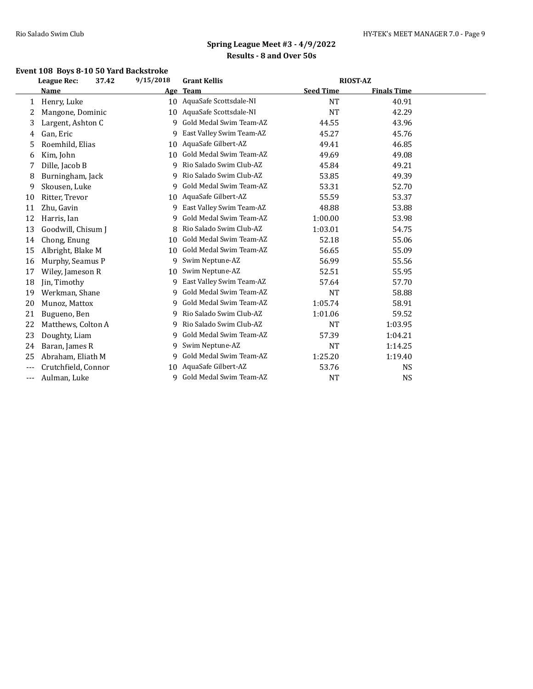## **Event 108 Boys 8-10 50 Yard Backstroke**

|       | <b>League Rec:</b>  | 37.42 | 9/15/2018 | <b>Grant Kellis</b>       | <b>RIOST-AZ</b>  |                    |  |
|-------|---------------------|-------|-----------|---------------------------|------------------|--------------------|--|
|       | Name                |       | Age       | <b>Team</b>               | <b>Seed Time</b> | <b>Finals Time</b> |  |
| 1     | Henry, Luke         |       |           | 10 AquaSafe Scottsdale-NI | <b>NT</b>        | 40.91              |  |
| 2     | Mangone, Dominic    |       | 10        | AquaSafe Scottsdale-NI    | <b>NT</b>        | 42.29              |  |
| 3     | Largent, Ashton C   |       | 9         | Gold Medal Swim Team-AZ   | 44.55            | 43.96              |  |
| 4     | Gan, Eric           |       | 9         | East Valley Swim Team-AZ  | 45.27            | 45.76              |  |
| 5     | Roemhild, Elias     |       | 10        | AquaSafe Gilbert-AZ       | 49.41            | 46.85              |  |
| 6     | Kim, John           |       | 10        | Gold Medal Swim Team-AZ   | 49.69            | 49.08              |  |
| 7     | Dille, Jacob B      |       | 9         | Rio Salado Swim Club-AZ   | 45.84            | 49.21              |  |
| 8     | Burningham, Jack    |       | 9         | Rio Salado Swim Club-AZ   | 53.85            | 49.39              |  |
| 9     | Skousen, Luke       |       | 9         | Gold Medal Swim Team-AZ   | 53.31            | 52.70              |  |
| 10    | Ritter, Trevor      |       | 10        | AquaSafe Gilbert-AZ       | 55.59            | 53.37              |  |
| 11    | Zhu, Gavin          |       | 9         | East Valley Swim Team-AZ  | 48.88            | 53.88              |  |
| 12    | Harris, Ian         |       | 9         | Gold Medal Swim Team-AZ   | 1:00.00          | 53.98              |  |
| 13    | Goodwill, Chisum J  |       |           | Rio Salado Swim Club-AZ   | 1:03.01          | 54.75              |  |
| 14    | Chong, Enung        |       | 10        | Gold Medal Swim Team-AZ   | 52.18            | 55.06              |  |
| 15    | Albright, Blake M   |       | 10        | Gold Medal Swim Team-AZ   | 56.65            | 55.09              |  |
| 16    | Murphy, Seamus P    |       | 9         | Swim Neptune-AZ           | 56.99            | 55.56              |  |
| 17    | Wiley, Jameson R    |       | 10        | Swim Neptune-AZ           | 52.51            | 55.95              |  |
| 18    | Jin, Timothy        |       | 9         | East Valley Swim Team-AZ  | 57.64            | 57.70              |  |
| 19    | Werkman, Shane      |       | 9         | Gold Medal Swim Team-AZ   | <b>NT</b>        | 58.88              |  |
| 20    | Munoz, Mattox       |       | 9         | Gold Medal Swim Team-AZ   | 1:05.74          | 58.91              |  |
| 21    | Bugueno, Ben        |       | 9         | Rio Salado Swim Club-AZ   | 1:01.06          | 59.52              |  |
| 22    | Matthews, Colton A  |       | 9         | Rio Salado Swim Club-AZ   | <b>NT</b>        | 1:03.95            |  |
| 23    | Doughty, Liam       |       | 9         | Gold Medal Swim Team-AZ   | 57.39            | 1:04.21            |  |
| 24    | Baran, James R      |       | 9         | Swim Neptune-AZ           | <b>NT</b>        | 1:14.25            |  |
| 25    | Abraham, Eliath M   |       | 9         | Gold Medal Swim Team-AZ   | 1:25.20          | 1:19.40            |  |
| ---   | Crutchfield, Connor |       | 10.       | AquaSafe Gilbert-AZ       | 53.76            | NS                 |  |
| $---$ | Aulman, Luke        |       | 9         | Gold Medal Swim Team-AZ   | <b>NT</b>        | <b>NS</b>          |  |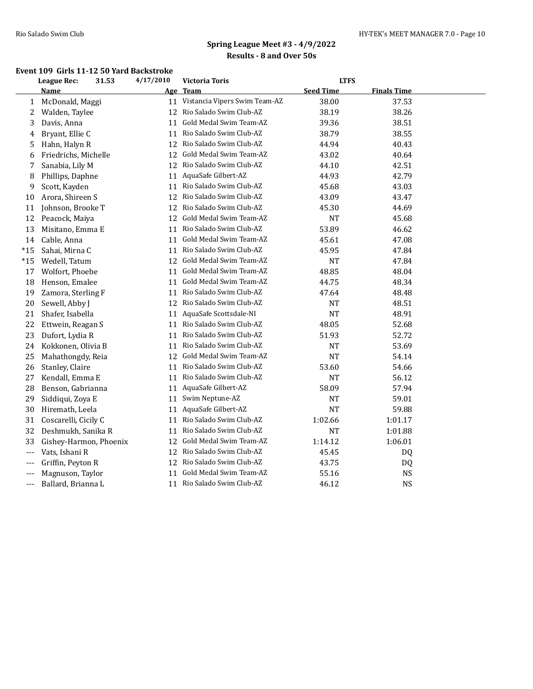#### **Event 109 Girls 11-12 50 Yard Backstroke**

|       | League Rec:            | 31.53 | 4/17/2010 | Victoria Toris                   | <b>LTFS</b>      |                    |  |
|-------|------------------------|-------|-----------|----------------------------------|------------------|--------------------|--|
|       | Name                   |       | Age       | <b>Team</b>                      | <b>Seed Time</b> | <b>Finals Time</b> |  |
| 1     | McDonald, Maggi        |       |           | 11 Vistancia Vipers Swim Team-AZ | 38.00            | 37.53              |  |
| 2     | Walden, Taylee         |       |           | 12 Rio Salado Swim Club-AZ       | 38.19            | 38.26              |  |
| 3     | Davis, Anna            |       | 11        | Gold Medal Swim Team-AZ          | 39.36            | 38.51              |  |
| 4     | Bryant, Ellie C        |       | 11        | Rio Salado Swim Club-AZ          | 38.79            | 38.55              |  |
| 5     | Hahn, Halyn R          |       | 12        | Rio Salado Swim Club-AZ          | 44.94            | 40.43              |  |
| 6     | Friedrichs, Michelle   |       | 12        | Gold Medal Swim Team-AZ          | 43.02            | 40.64              |  |
| 7     | Sanabia, Lily M        |       |           | 12 Rio Salado Swim Club-AZ       | 44.10            | 42.51              |  |
| 8     | Phillips, Daphne       |       | 11        | AquaSafe Gilbert-AZ              | 44.93            | 42.79              |  |
| 9     | Scott, Kayden          |       | 11        | Rio Salado Swim Club-AZ          | 45.68            | 43.03              |  |
| 10    | Arora, Shireen S       |       | 12        | Rio Salado Swim Club-AZ          | 43.09            | 43.47              |  |
| 11    | Johnson, Brooke T      |       | 12        | Rio Salado Swim Club-AZ          | 45.30            | 44.69              |  |
| 12    | Peacock, Maiya         |       | 12        | Gold Medal Swim Team-AZ          | <b>NT</b>        | 45.68              |  |
| 13    | Misitano, Emma E       |       | 11        | Rio Salado Swim Club-AZ          | 53.89            | 46.62              |  |
| 14    | Cable, Anna            |       | 11        | Gold Medal Swim Team-AZ          | 45.61            | 47.08              |  |
| $*15$ | Sahai, Mirna C         |       |           | 11 Rio Salado Swim Club-AZ       | 45.95            | 47.84              |  |
| $*15$ | Wedell, Tatum          |       |           | 12 Gold Medal Swim Team-AZ       | NT               | 47.84              |  |
| 17    | Wolfort, Phoebe        |       |           | 11 Gold Medal Swim Team-AZ       | 48.85            | 48.04              |  |
| 18    | Henson, Emalee         |       | 11        | Gold Medal Swim Team-AZ          | 44.75            | 48.34              |  |
| 19    | Zamora, Sterling F     |       | 11        | Rio Salado Swim Club-AZ          | 47.64            | 48.48              |  |
| 20    | Sewell, Abby J         |       | 12        | Rio Salado Swim Club-AZ          | <b>NT</b>        | 48.51              |  |
| 21    | Shafer, Isabella       |       | 11        | AquaSafe Scottsdale-NI           | <b>NT</b>        | 48.91              |  |
| 22    | Ettwein, Reagan S      |       | 11        | Rio Salado Swim Club-AZ          | 48.05            | 52.68              |  |
| 23    | Dufort, Lydia R        |       | 11        | Rio Salado Swim Club-AZ          | 51.93            | 52.72              |  |
| 24    | Kokkonen, Olivia B     |       | 11        | Rio Salado Swim Club-AZ          | <b>NT</b>        | 53.69              |  |
| 25    | Mahathongdy, Reia      |       | 12        | Gold Medal Swim Team-AZ          | <b>NT</b>        | 54.14              |  |
| 26    | Stanley, Claire        |       | 11        | Rio Salado Swim Club-AZ          | 53.60            | 54.66              |  |
| 27    | Kendall, Emma E        |       | 11        | Rio Salado Swim Club-AZ          | <b>NT</b>        | 56.12              |  |
| 28    | Benson, Gabrianna      |       | 11        | AquaSafe Gilbert-AZ              | 58.09            | 57.94              |  |
| 29    | Siddiqui, Zoya E       |       | 11        | Swim Neptune-AZ                  | <b>NT</b>        | 59.01              |  |
| 30    | Hiremath, Leela        |       | 11        | AquaSafe Gilbert-AZ              | <b>NT</b>        | 59.88              |  |
| 31    | Coscarelli, Cicily C   |       |           | 11 Rio Salado Swim Club-AZ       | 1:02.66          | 1:01.17            |  |
| 32    | Deshmukh, Sanika R     |       |           | 11 Rio Salado Swim Club-AZ       | NT               | 1:01.88            |  |
| 33    | Gishey-Harmon, Phoenix |       | 12        | Gold Medal Swim Team-AZ          | 1:14.12          | 1:06.01            |  |
| ---   | Vats, Ishani R         |       | 12        | Rio Salado Swim Club-AZ          | 45.45            | DQ                 |  |
| ---   | Griffin, Peyton R      |       | 12        | Rio Salado Swim Club-AZ          | 43.75            | DQ                 |  |
| ---   | Magnuson, Taylor       |       | 11        | Gold Medal Swim Team-AZ          | 55.16            | <b>NS</b>          |  |
| ---   | Ballard, Brianna L     |       | 11        | Rio Salado Swim Club-AZ          | 46.12            | <b>NS</b>          |  |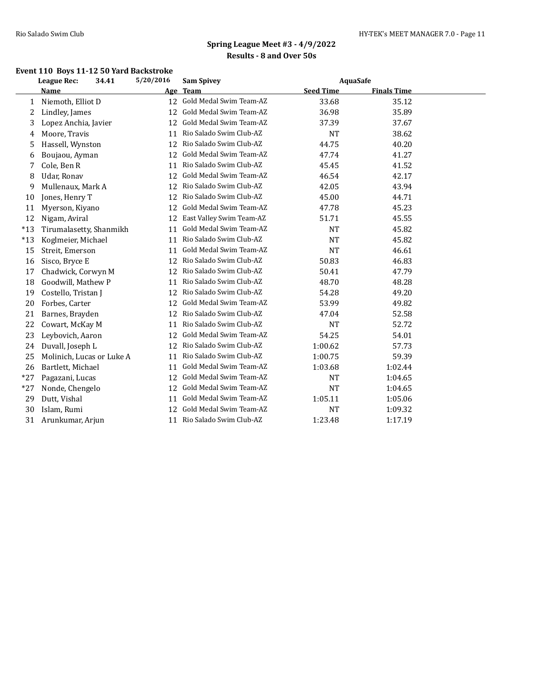## **Event 110 Boys 11-12 50 Yard Backstroke**

|       | League Rec:               | 34.41 | 5/20/2016 | <b>Sam Spivey</b>        | AquaSafe         |                    |  |
|-------|---------------------------|-------|-----------|--------------------------|------------------|--------------------|--|
|       | Name                      |       | Age       | <b>Team</b>              | <b>Seed Time</b> | <b>Finals Time</b> |  |
| 1     | Niemoth, Elliot D         |       | 12        | Gold Medal Swim Team-AZ  | 33.68            | 35.12              |  |
| 2     | Lindley, James            |       | 12        | Gold Medal Swim Team-AZ  | 36.98            | 35.89              |  |
| 3     | Lopez Anchia, Javier      |       | 12        | Gold Medal Swim Team-AZ  | 37.39            | 37.67              |  |
| 4     | Moore, Travis             |       | 11        | Rio Salado Swim Club-AZ  | <b>NT</b>        | 38.62              |  |
| 5     | Hassell, Wynston          |       | 12        | Rio Salado Swim Club-AZ  | 44.75            | 40.20              |  |
| 6     | Boujaou, Ayman            |       | 12        | Gold Medal Swim Team-AZ  | 47.74            | 41.27              |  |
| 7     | Cole, Ben R               |       | 11        | Rio Salado Swim Club-AZ  | 45.45            | 41.52              |  |
| 8     | Udar, Ronav               |       | 12        | Gold Medal Swim Team-AZ  | 46.54            | 42.17              |  |
| 9     | Mullenaux, Mark A         |       | 12        | Rio Salado Swim Club-AZ  | 42.05            | 43.94              |  |
| 10    | Jones, Henry T            |       | 12        | Rio Salado Swim Club-AZ  | 45.00            | 44.71              |  |
| 11    | Myerson, Kiyano           |       | 12        | Gold Medal Swim Team-AZ  | 47.78            | 45.23              |  |
| 12    | Nigam, Aviral             |       | 12        | East Valley Swim Team-AZ | 51.71            | 45.55              |  |
| $*13$ | Tirumalasetty, Shanmikh   |       | 11        | Gold Medal Swim Team-AZ  | <b>NT</b>        | 45.82              |  |
| $*13$ | Koglmeier, Michael        |       | 11        | Rio Salado Swim Club-AZ  | <b>NT</b>        | 45.82              |  |
| 15    | Streit, Emerson           |       | 11        | Gold Medal Swim Team-AZ  | <b>NT</b>        | 46.61              |  |
| 16    | Sisco, Bryce E            |       | 12        | Rio Salado Swim Club-AZ  | 50.83            | 46.83              |  |
| 17    | Chadwick, Corwyn M        |       | 12        | Rio Salado Swim Club-AZ  | 50.41            | 47.79              |  |
| 18    | Goodwill, Mathew P        |       | 11        | Rio Salado Swim Club-AZ  | 48.70            | 48.28              |  |
| 19    | Costello, Tristan J       |       | 12        | Rio Salado Swim Club-AZ  | 54.28            | 49.20              |  |
| 20    | Forbes, Carter            |       | 12        | Gold Medal Swim Team-AZ  | 53.99            | 49.82              |  |
| 21    | Barnes, Brayden           |       | 12        | Rio Salado Swim Club-AZ  | 47.04            | 52.58              |  |
| 22    | Cowart, McKay M           |       | 11        | Rio Salado Swim Club-AZ  | <b>NT</b>        | 52.72              |  |
| 23    | Leybovich, Aaron          |       | 12        | Gold Medal Swim Team-AZ  | 54.25            | 54.01              |  |
| 24    | Duvall, Joseph L          |       | 12        | Rio Salado Swim Club-AZ  | 1:00.62          | 57.73              |  |
| 25    | Molinich, Lucas or Luke A |       | 11        | Rio Salado Swim Club-AZ  | 1:00.75          | 59.39              |  |
| 26    | Bartlett, Michael         |       | 11        | Gold Medal Swim Team-AZ  | 1:03.68          | 1:02.44            |  |
| $*27$ | Pagazani, Lucas           |       | 12        | Gold Medal Swim Team-AZ  | <b>NT</b>        | 1:04.65            |  |
| $*27$ | Nonde, Chengelo           |       | 12        | Gold Medal Swim Team-AZ  | <b>NT</b>        | 1:04.65            |  |
| 29    | Dutt, Vishal              |       | 11        | Gold Medal Swim Team-AZ  | 1:05.11          | 1:05.06            |  |
| 30    | Islam, Rumi               |       | 12        | Gold Medal Swim Team-AZ  | <b>NT</b>        | 1:09.32            |  |
| 31    | Arunkumar, Arjun          |       | 11        | Rio Salado Swim Club-AZ  | 1:23.48          | 1:17.19            |  |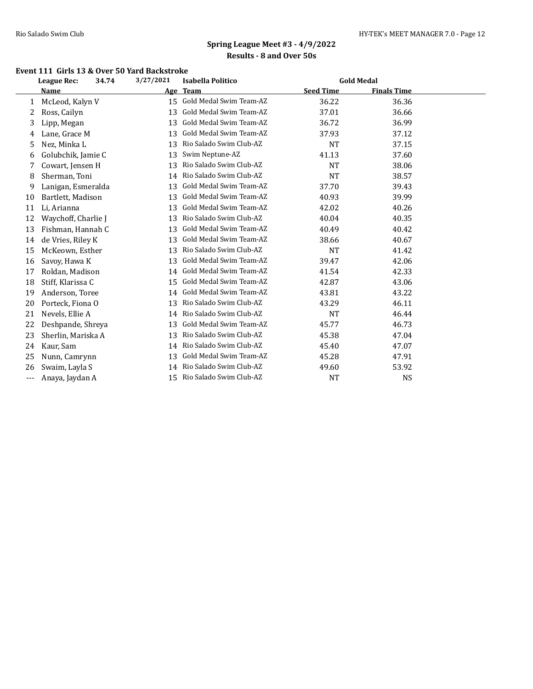#### **Event 111 Girls 13 & Over 50 Yard Backstroke**

|          | League Rec:<br>34.74 | 3/27/2021 | <b>Isabella Politico</b>   |                  | <b>Gold Medal</b>  |  |
|----------|----------------------|-----------|----------------------------|------------------|--------------------|--|
|          | <b>Name</b>          | Age       | <b>Team</b>                | <b>Seed Time</b> | <b>Finals Time</b> |  |
| 1        | McLeod, Kalyn V      | 15        | Gold Medal Swim Team-AZ    | 36.22            | 36.36              |  |
| 2        | Ross, Cailyn         | 13        | Gold Medal Swim Team-AZ    | 37.01            | 36.66              |  |
| 3        | Lipp, Megan          | 13        | Gold Medal Swim Team-AZ    | 36.72            | 36.99              |  |
| 4        | Lane, Grace M        | 13        | Gold Medal Swim Team-AZ    | 37.93            | 37.12              |  |
| 5        | Nez, Minka L         | 13        | Rio Salado Swim Club-AZ    | <b>NT</b>        | 37.15              |  |
| 6        | Golubchik, Jamie C   | 13        | Swim Neptune-AZ            | 41.13            | 37.60              |  |
| 7        | Cowart, Jensen H     | 13        | Rio Salado Swim Club-AZ    | <b>NT</b>        | 38.06              |  |
| 8        | Sherman, Toni        | 14        | Rio Salado Swim Club-AZ    | <b>NT</b>        | 38.57              |  |
| 9        | Lanigan, Esmeralda   | 13        | Gold Medal Swim Team-AZ    | 37.70            | 39.43              |  |
| 10       | Bartlett, Madison    | 13        | Gold Medal Swim Team-AZ    | 40.93            | 39.99              |  |
| 11       | Li, Arianna          | 13        | Gold Medal Swim Team-AZ    | 42.02            | 40.26              |  |
| 12       | Waychoff, Charlie J  | 13        | Rio Salado Swim Club-AZ    | 40.04            | 40.35              |  |
| 13       | Fishman, Hannah C    | 13        | Gold Medal Swim Team-AZ    | 40.49            | 40.42              |  |
| 14       | de Vries, Riley K    | 13        | Gold Medal Swim Team-AZ    | 38.66            | 40.67              |  |
| 15       | McKeown, Esther      | 13        | Rio Salado Swim Club-AZ    | <b>NT</b>        | 41.42              |  |
| 16       | Savoy, Hawa K        | 13        | Gold Medal Swim Team-AZ    | 39.47            | 42.06              |  |
| 17       | Roldan, Madison      | 14        | Gold Medal Swim Team-AZ    | 41.54            | 42.33              |  |
| 18       | Stiff, Klarissa C    | 15        | Gold Medal Swim Team-AZ    | 42.87            | 43.06              |  |
| 19       | Anderson, Toree      | 14        | Gold Medal Swim Team-AZ    | 43.81            | 43.22              |  |
| 20       | Porteck, Fiona O     | 13        | Rio Salado Swim Club-AZ    | 43.29            | 46.11              |  |
| 21       | Nevels, Ellie A      | 14        | Rio Salado Swim Club-AZ    | NT               | 46.44              |  |
| 22       | Deshpande, Shreya    | 13        | Gold Medal Swim Team-AZ    | 45.77            | 46.73              |  |
| 23       | Sherlin, Mariska A   | 13        | Rio Salado Swim Club-AZ    | 45.38            | 47.04              |  |
| 24       | Kaur, Sam            | 14        | Rio Salado Swim Club-AZ    | 45.40            | 47.07              |  |
| 25       | Nunn, Camrynn        | 13        | Gold Medal Swim Team-AZ    | 45.28            | 47.91              |  |
| 26       | Swaim, Layla S       |           | 14 Rio Salado Swim Club-AZ | 49.60            | 53.92              |  |
| $\cdots$ | Anaya, Jaydan A      | 15        | Rio Salado Swim Club-AZ    | <b>NT</b>        | <b>NS</b>          |  |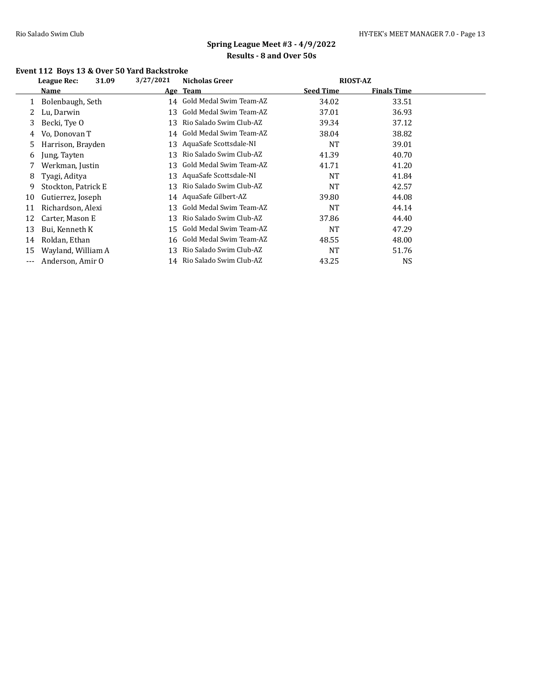### **Event 112 Boys 13 & Over 50 Yard Backstroke**

|     | 31.09<br><b>League Rec:</b> | 3/27/2021 | <b>Nicholas Greer</b>      | <b>RIOST-AZ</b>  |                    |  |
|-----|-----------------------------|-----------|----------------------------|------------------|--------------------|--|
|     | Name                        |           | Age Team                   | <b>Seed Time</b> | <b>Finals Time</b> |  |
|     | Bolenbaugh, Seth            |           | 14 Gold Medal Swim Team-AZ | 34.02            | 33.51              |  |
|     | Lu, Darwin                  | 13        | Gold Medal Swim Team-AZ    | 37.01            | 36.93              |  |
| 3.  | Becki, Tye O                | 13        | Rio Salado Swim Club-AZ    | 39.34            | 37.12              |  |
| 4   | Vo, Donovan T               | 14        | Gold Medal Swim Team-AZ    | 38.04            | 38.82              |  |
| 5.  | Harrison, Brayden           | 13        | AquaSafe Scottsdale-NI     | <b>NT</b>        | 39.01              |  |
| 6   | Jung, Tayten                | 13        | Rio Salado Swim Club-AZ    | 41.39            | 40.70              |  |
| 7   | Werkman, Justin             | 13        | Gold Medal Swim Team-AZ    | 41.71            | 41.20              |  |
| 8   | Tyagi, Aditya               | 13        | AquaSafe Scottsdale-NI     | <b>NT</b>        | 41.84              |  |
| 9   | Stockton, Patrick E         | 13        | Rio Salado Swim Club-AZ    | <b>NT</b>        | 42.57              |  |
| 10  | Gutierrez, Joseph           |           | 14 AquaSafe Gilbert-AZ     | 39.80            | 44.08              |  |
| 11  | Richardson, Alexi           | 13        | Gold Medal Swim Team-AZ    | NT               | 44.14              |  |
| 12  | Carter, Mason E             | 13        | Rio Salado Swim Club-AZ    | 37.86            | 44.40              |  |
| 13  | Bui, Kenneth K              | 15        | Gold Medal Swim Team-AZ    | <b>NT</b>        | 47.29              |  |
| 14  | Roldan, Ethan               |           | 16 Gold Medal Swim Team-AZ | 48.55            | 48.00              |  |
| 15  | Wayland, William A          | 13        | Rio Salado Swim Club-AZ    | NT               | 51.76              |  |
| --- | Anderson, Amir O            |           | 14 Rio Salado Swim Club-AZ | 43.25            | NS                 |  |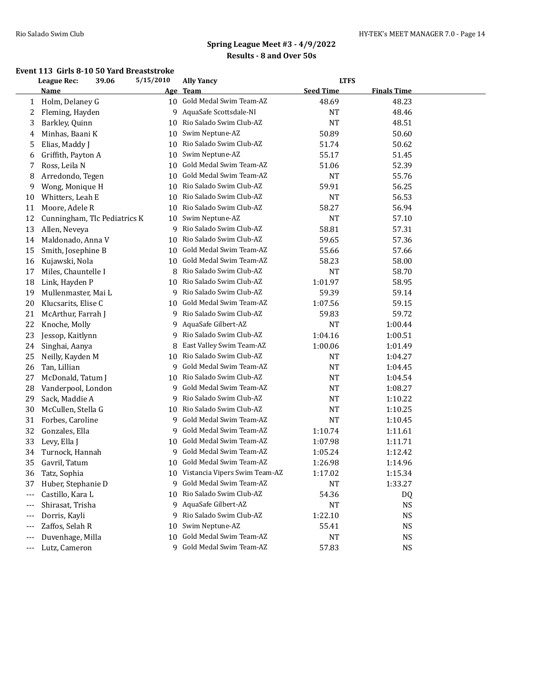#### **Event 113 Girls 8-10 50 Yard Breaststroke**

|       | League Rec:                  | 5/15/2010<br>39.06 |   | <b>Ally Yancy</b>                |                  | <b>LTFS</b>        |  |
|-------|------------------------------|--------------------|---|----------------------------------|------------------|--------------------|--|
|       | Name                         | Age                |   | <b>Team</b>                      | <b>Seed Time</b> | <b>Finals Time</b> |  |
| 1     | Holm, Delaney G              | 10                 |   | Gold Medal Swim Team-AZ          | 48.69            | 48.23              |  |
| 2     | Fleming, Hayden              |                    | 9 | AquaSafe Scottsdale-NI           | <b>NT</b>        | 48.46              |  |
| 3     | Barkley, Quinn               | 10                 |   | Rio Salado Swim Club-AZ          | <b>NT</b>        | 48.51              |  |
| 4     | Minhas, Baani K              | 10                 |   | Swim Neptune-AZ                  | 50.89            | 50.60              |  |
| 5     | Elias, Maddy J               | 10                 |   | Rio Salado Swim Club-AZ          | 51.74            | 50.62              |  |
| 6     | Griffith, Payton A           | 10                 |   | Swim Neptune-AZ                  | 55.17            | 51.45              |  |
| 7     | Ross, Leila N                | 10                 |   | Gold Medal Swim Team-AZ          | 51.06            | 52.39              |  |
| 8     | Arredondo, Tegen             | 10                 |   | Gold Medal Swim Team-AZ          | <b>NT</b>        | 55.76              |  |
| 9     | Wong, Monique H              | 10                 |   | Rio Salado Swim Club-AZ          | 59.91            | 56.25              |  |
| 10    | Whitters, Leah E             | 10                 |   | Rio Salado Swim Club-AZ          | <b>NT</b>        | 56.53              |  |
| 11    | Moore, Adele R               | 10                 |   | Rio Salado Swim Club-AZ          | 58.27            | 56.94              |  |
| 12    | Cunningham, Tlc Pediatrics K | 10                 |   | Swim Neptune-AZ                  | <b>NT</b>        | 57.10              |  |
| 13    | Allen, Neveya                |                    | 9 | Rio Salado Swim Club-AZ          | 58.81            | 57.31              |  |
| 14    | Maldonado, Anna V            | 10                 |   | Rio Salado Swim Club-AZ          | 59.65            | 57.36              |  |
| 15    | Smith, Josephine B           | 10                 |   | Gold Medal Swim Team-AZ          | 55.66            | 57.66              |  |
| 16    | Kujawski, Nola               | 10                 |   | Gold Medal Swim Team-AZ          | 58.23            | 58.00              |  |
| 17    | Miles, Chauntelle I          | 8                  |   | Rio Salado Swim Club-AZ          | <b>NT</b>        | 58.70              |  |
| 18    | Link, Hayden P               | 10                 |   | Rio Salado Swim Club-AZ          | 1:01.97          | 58.95              |  |
| 19    | Mullenmaster, Mai L          |                    | 9 | Rio Salado Swim Club-AZ          | 59.39            | 59.14              |  |
| 20    | Klucsarits, Elise C          | 10                 |   | Gold Medal Swim Team-AZ          | 1:07.56          | 59.15              |  |
| 21    | McArthur, Farrah J           |                    | 9 | Rio Salado Swim Club-AZ          | 59.83            | 59.72              |  |
| 22    | Knoche, Molly                |                    | 9 | AquaSafe Gilbert-AZ              | <b>NT</b>        | 1:00.44            |  |
| 23    | Jessop, Kaitlynn             |                    | 9 | Rio Salado Swim Club-AZ          | 1:04.16          | 1:00.51            |  |
| 24    | Singhai, Aanya               | 8                  |   | East Valley Swim Team-AZ         | 1:00.06          | 1:01.49            |  |
| 25    | Neilly, Kayden M             | 10                 |   | Rio Salado Swim Club-AZ          | NT               | 1:04.27            |  |
| 26    | Tan, Lillian                 |                    | 9 | Gold Medal Swim Team-AZ          | <b>NT</b>        | 1:04.45            |  |
| 27    | McDonald, Tatum J            | 10                 |   | Rio Salado Swim Club-AZ          | NT               | 1:04.54            |  |
| 28    | Vanderpool, London           |                    | 9 | Gold Medal Swim Team-AZ          | NT               | 1:08.27            |  |
| 29    | Sack, Maddie A               |                    | 9 | Rio Salado Swim Club-AZ          | NT               | 1:10.22            |  |
| 30    | McCullen, Stella G           | 10                 |   | Rio Salado Swim Club-AZ          | NT               | 1:10.25            |  |
| 31    | Forbes, Caroline             |                    | 9 | Gold Medal Swim Team-AZ          | <b>NT</b>        | 1:10.45            |  |
| 32    | Gonzales, Ella               |                    | 9 | Gold Medal Swim Team-AZ          | 1:10.74          | 1:11.61            |  |
| 33    | Levy, Ella J                 | 10                 |   | Gold Medal Swim Team-AZ          | 1:07.98          | 1:11.71            |  |
| 34    | Turnock, Hannah              | 9                  |   | Gold Medal Swim Team-AZ          | 1:05.24          | 1:12.42            |  |
| 35    | Gavril, Tatum                | 10                 |   | Gold Medal Swim Team-AZ          | 1:26.98          | 1:14.96            |  |
| 36    | Tatz, Sophia                 |                    |   | 10 Vistancia Vipers Swim Team-AZ | 1:17.02          | 1:15.34            |  |
| 37    | Huber, Stephanie D           |                    | 9 | Gold Medal Swim Team-AZ          | NT               | 1:33.27            |  |
| $---$ | Castillo, Kara L             | 10                 |   | Rio Salado Swim Club-AZ          | 54.36            | DQ                 |  |
| $---$ | Shirasat, Trisha             |                    | 9 | AquaSafe Gilbert-AZ              | <b>NT</b>        | NS                 |  |
| ---   | Dorris, Kayli                | 9                  |   | Rio Salado Swim Club-AZ          | 1:22.10          | NS                 |  |
| ---   | Zaffos, Selah R              | 10                 |   | Swim Neptune-AZ                  | 55.41            | NS                 |  |
| ---   | Duvenhage, Milla             | 10                 |   | Gold Medal Swim Team-AZ          | <b>NT</b>        | NS                 |  |
| ---   | Lutz, Cameron                |                    |   | 9 Gold Medal Swim Team-AZ        | 57.83            | <b>NS</b>          |  |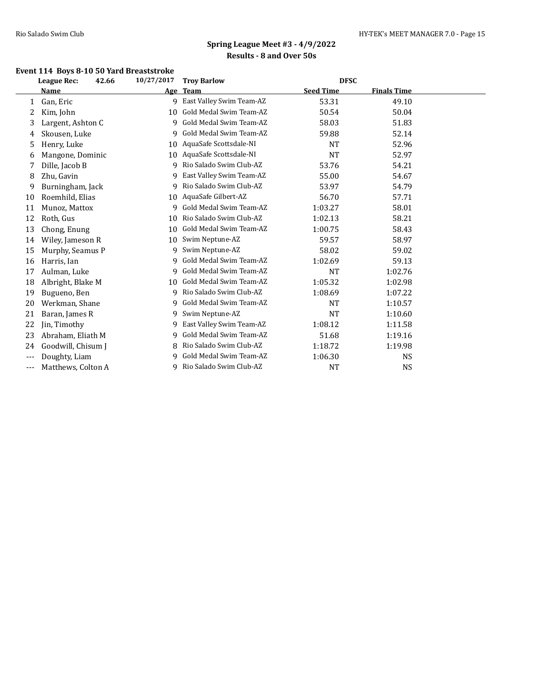## **Event 114 Boys 8-10 50 Yard Breaststroke**

|          | <b>League Rec:</b><br>42.66 | 10/27/2017 | <b>Troy Barlow</b>       | <b>DFSC</b>      |                    |  |
|----------|-----------------------------|------------|--------------------------|------------------|--------------------|--|
|          | Name                        |            | Age Team                 | <b>Seed Time</b> | <b>Finals Time</b> |  |
| 1        | Gan, Eric                   | 9          | East Valley Swim Team-AZ | 53.31            | 49.10              |  |
| 2        | Kim, John                   | 10         | Gold Medal Swim Team-AZ  | 50.54            | 50.04              |  |
| 3        | Largent, Ashton C           | 9          | Gold Medal Swim Team-AZ  | 58.03            | 51.83              |  |
| 4        | Skousen, Luke               | 9          | Gold Medal Swim Team-AZ  | 59.88            | 52.14              |  |
| 5        | Henry, Luke                 | 10         | AquaSafe Scottsdale-NI   | <b>NT</b>        | 52.96              |  |
| 6        | Mangone, Dominic            | 10         | AquaSafe Scottsdale-NI   | <b>NT</b>        | 52.97              |  |
| 7        | Dille, Jacob B              | 9          | Rio Salado Swim Club-AZ  | 53.76            | 54.21              |  |
| 8        | Zhu, Gavin                  | 9          | East Valley Swim Team-AZ | 55.00            | 54.67              |  |
| 9        | Burningham, Jack            | 9          | Rio Salado Swim Club-AZ  | 53.97            | 54.79              |  |
| 10       | Roemhild, Elias             | 10         | AquaSafe Gilbert-AZ      | 56.70            | 57.71              |  |
| 11       | Munoz, Mattox               | 9          | Gold Medal Swim Team-AZ  | 1:03.27          | 58.01              |  |
| 12       | Roth, Gus                   | 10         | Rio Salado Swim Club-AZ  | 1:02.13          | 58.21              |  |
| 13       | Chong, Enung                | 10         | Gold Medal Swim Team-AZ  | 1:00.75          | 58.43              |  |
| 14       | Wiley, Jameson R            | 10         | Swim Neptune-AZ          | 59.57            | 58.97              |  |
| 15       | Murphy, Seamus P            | 9          | Swim Neptune-AZ          | 58.02            | 59.02              |  |
| 16       | Harris, Ian                 | 9          | Gold Medal Swim Team-AZ  | 1:02.69          | 59.13              |  |
| 17       | Aulman, Luke                | 9          | Gold Medal Swim Team-AZ  | <b>NT</b>        | 1:02.76            |  |
| 18       | Albright, Blake M           | 10         | Gold Medal Swim Team-AZ  | 1:05.32          | 1:02.98            |  |
| 19       | Bugueno, Ben                | 9          | Rio Salado Swim Club-AZ  | 1:08.69          | 1:07.22            |  |
| 20       | Werkman, Shane              | 9          | Gold Medal Swim Team-AZ  | <b>NT</b>        | 1:10.57            |  |
| 21       | Baran, James R              | 9          | Swim Neptune-AZ          | <b>NT</b>        | 1:10.60            |  |
| 22       | Jin, Timothy                | 9          | East Valley Swim Team-AZ | 1:08.12          | 1:11.58            |  |
| 23       | Abraham, Eliath M           | 9          | Gold Medal Swim Team-AZ  | 51.68            | 1:19.16            |  |
| 24       | Goodwill, Chisum J          | 8          | Rio Salado Swim Club-AZ  | 1:18.72          | 1:19.98            |  |
| $---$    | Doughty, Liam               | 9          | Gold Medal Swim Team-AZ  | 1:06.30          | NS                 |  |
| $\cdots$ | Matthews, Colton A          | 9          | Rio Salado Swim Club-AZ  | NT               | <b>NS</b>          |  |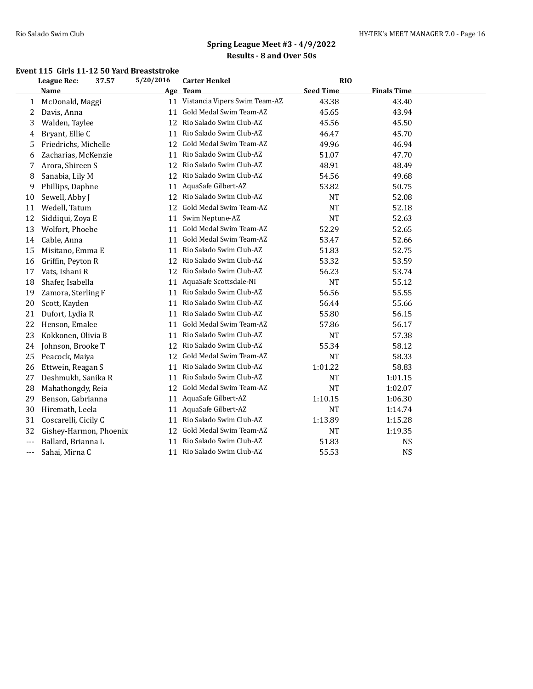#### **Event 115 Girls 11-12 50 Yard Breaststroke**

|       | <b>League Rec:</b>     | 37.57 | 5/20/2016 | <b>Carter Henkel</b>             | RIO              |                    |  |
|-------|------------------------|-------|-----------|----------------------------------|------------------|--------------------|--|
|       | Name                   |       | Age       | Team                             | <b>Seed Time</b> | <b>Finals Time</b> |  |
| 1     | McDonald, Maggi        |       |           | 11 Vistancia Vipers Swim Team-AZ | 43.38            | 43.40              |  |
| 2     | Davis, Anna            |       | 11        | Gold Medal Swim Team-AZ          | 45.65            | 43.94              |  |
| 3     | Walden, Taylee         |       | 12        | Rio Salado Swim Club-AZ          | 45.56            | 45.50              |  |
| 4     | Bryant, Ellie C        |       | 11        | Rio Salado Swim Club-AZ          | 46.47            | 45.70              |  |
| 5     | Friedrichs, Michelle   |       | 12        | Gold Medal Swim Team-AZ          | 49.96            | 46.94              |  |
| 6     | Zacharias, McKenzie    |       | 11        | Rio Salado Swim Club-AZ          | 51.07            | 47.70              |  |
|       | Arora, Shireen S       |       | 12        | Rio Salado Swim Club-AZ          | 48.91            | 48.49              |  |
| 8     | Sanabia, Lily M        |       | 12        | Rio Salado Swim Club-AZ          | 54.56            | 49.68              |  |
| 9     | Phillips, Daphne       |       | 11        | AquaSafe Gilbert-AZ              | 53.82            | 50.75              |  |
| 10    | Sewell, Abby J         |       |           | 12 Rio Salado Swim Club-AZ       | NT               | 52.08              |  |
| 11    | Wedell, Tatum          |       | 12        | Gold Medal Swim Team-AZ          | <b>NT</b>        | 52.18              |  |
| 12    | Siddiqui, Zoya E       |       | 11        | Swim Neptune-AZ                  | <b>NT</b>        | 52.63              |  |
| 13    | Wolfort, Phoebe        |       | 11        | Gold Medal Swim Team-AZ          | 52.29            | 52.65              |  |
| 14    | Cable, Anna            |       | 11        | Gold Medal Swim Team-AZ          | 53.47            | 52.66              |  |
| 15    | Misitano, Emma E       |       | 11        | Rio Salado Swim Club-AZ          | 51.83            | 52.75              |  |
| 16    | Griffin, Peyton R      |       | 12        | Rio Salado Swim Club-AZ          | 53.32            | 53.59              |  |
| 17    | Vats, Ishani R         |       | 12        | Rio Salado Swim Club-AZ          | 56.23            | 53.74              |  |
| 18    | Shafer, Isabella       |       | 11        | AquaSafe Scottsdale-NI           | <b>NT</b>        | 55.12              |  |
| 19    | Zamora, Sterling F     |       | 11        | Rio Salado Swim Club-AZ          | 56.56            | 55.55              |  |
| 20    | Scott, Kayden          |       | 11        | Rio Salado Swim Club-AZ          | 56.44            | 55.66              |  |
| 21    | Dufort, Lydia R        |       | 11        | Rio Salado Swim Club-AZ          | 55.80            | 56.15              |  |
| 22    | Henson, Emalee         |       | 11        | Gold Medal Swim Team-AZ          | 57.86            | 56.17              |  |
| 23    | Kokkonen, Olivia B     |       | 11        | Rio Salado Swim Club-AZ          | <b>NT</b>        | 57.38              |  |
| 24    | Johnson, Brooke T      |       | 12        | Rio Salado Swim Club-AZ          | 55.34            | 58.12              |  |
| 25    | Peacock, Maiya         |       | 12        | Gold Medal Swim Team-AZ          | <b>NT</b>        | 58.33              |  |
| 26    | Ettwein, Reagan S      |       | 11        | Rio Salado Swim Club-AZ          | 1:01.22          | 58.83              |  |
| 27    | Deshmukh, Sanika R     |       | 11        | Rio Salado Swim Club-AZ          | <b>NT</b>        | 1:01.15            |  |
| 28    | Mahathongdy, Reia      |       | 12        | Gold Medal Swim Team-AZ          | <b>NT</b>        | 1:02.07            |  |
| 29    | Benson, Gabrianna      |       | 11        | AquaSafe Gilbert-AZ              | 1:10.15          | 1:06.30            |  |
| 30    | Hiremath, Leela        |       | 11        | AquaSafe Gilbert-AZ              | <b>NT</b>        | 1:14.74            |  |
| 31    | Coscarelli, Cicily C   |       | 11        | Rio Salado Swim Club-AZ          | 1:13.89          | 1:15.28            |  |
| 32    | Gishey-Harmon, Phoenix |       | 12        | Gold Medal Swim Team-AZ          | <b>NT</b>        | 1:19.35            |  |
| $---$ | Ballard, Brianna L     |       | 11        | Rio Salado Swim Club-AZ          | 51.83            | <b>NS</b>          |  |
| ---   | Sahai, Mirna C         |       |           | 11 Rio Salado Swim Club-AZ       | 55.53            | <b>NS</b>          |  |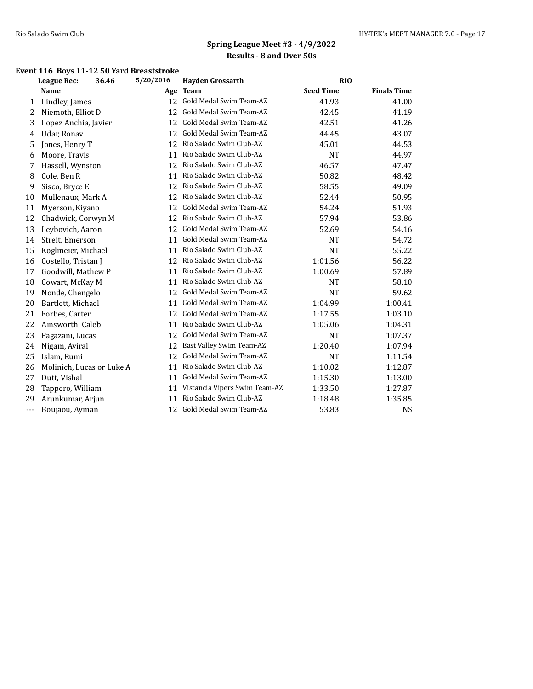### **Event 116 Boys 11-12 50 Yard Breaststroke**

|       | League Rec:               | 36.46 | 5/20/2016 | <b>Hayden Grossarth</b>       | <b>RIO</b>       |                    |  |
|-------|---------------------------|-------|-----------|-------------------------------|------------------|--------------------|--|
|       | Name                      |       | Age       | <b>Team</b>                   | <b>Seed Time</b> | <b>Finals Time</b> |  |
| 1     | Lindley, James            |       | 12        | Gold Medal Swim Team-AZ       | 41.93            | 41.00              |  |
| 2     | Niemoth, Elliot D         |       | 12        | Gold Medal Swim Team-AZ       | 42.45            | 41.19              |  |
| 3     | Lopez Anchia, Javier      |       | 12        | Gold Medal Swim Team-AZ       | 42.51            | 41.26              |  |
| 4     | Udar, Ronav               |       | 12        | Gold Medal Swim Team-AZ       | 44.45            | 43.07              |  |
| 5     | Jones, Henry T            |       | 12        | Rio Salado Swim Club-AZ       | 45.01            | 44.53              |  |
| 6     | Moore, Travis             |       | 11        | Rio Salado Swim Club-AZ       | <b>NT</b>        | 44.97              |  |
| 7     | Hassell, Wynston          |       | 12        | Rio Salado Swim Club-AZ       | 46.57            | 47.47              |  |
| 8     | Cole, Ben R               |       | 11        | Rio Salado Swim Club-AZ       | 50.82            | 48.42              |  |
| 9     | Sisco, Bryce E            |       | 12        | Rio Salado Swim Club-AZ       | 58.55            | 49.09              |  |
| 10    | Mullenaux, Mark A         |       | 12        | Rio Salado Swim Club-AZ       | 52.44            | 50.95              |  |
| 11    | Myerson, Kiyano           |       | 12        | Gold Medal Swim Team-AZ       | 54.24            | 51.93              |  |
| 12    | Chadwick, Corwyn M        |       | 12        | Rio Salado Swim Club-AZ       | 57.94            | 53.86              |  |
| 13    | Leybovich, Aaron          |       | 12        | Gold Medal Swim Team-AZ       | 52.69            | 54.16              |  |
| 14    | Streit, Emerson           |       | 11        | Gold Medal Swim Team-AZ       | <b>NT</b>        | 54.72              |  |
| 15    | Koglmeier, Michael        |       | 11        | Rio Salado Swim Club-AZ       | <b>NT</b>        | 55.22              |  |
| 16    | Costello, Tristan J       |       | 12        | Rio Salado Swim Club-AZ       | 1:01.56          | 56.22              |  |
| 17    | Goodwill, Mathew P        |       | 11        | Rio Salado Swim Club-AZ       | 1:00.69          | 57.89              |  |
| 18    | Cowart, McKay M           |       | 11        | Rio Salado Swim Club-AZ       | <b>NT</b>        | 58.10              |  |
| 19    | Nonde, Chengelo           |       | 12        | Gold Medal Swim Team-AZ       | <b>NT</b>        | 59.62              |  |
| 20    | Bartlett, Michael         |       | 11        | Gold Medal Swim Team-AZ       | 1:04.99          | 1:00.41            |  |
| 21    | Forbes, Carter            |       | 12        | Gold Medal Swim Team-AZ       | 1:17.55          | 1:03.10            |  |
| 22    | Ainsworth, Caleb          |       | 11        | Rio Salado Swim Club-AZ       | 1:05.06          | 1:04.31            |  |
| 23    | Pagazani, Lucas           |       | 12        | Gold Medal Swim Team-AZ       | <b>NT</b>        | 1:07.37            |  |
| 24    | Nigam, Aviral             |       | 12        | East Valley Swim Team-AZ      | 1:20.40          | 1:07.94            |  |
| 25    | Islam, Rumi               |       | 12        | Gold Medal Swim Team-AZ       | <b>NT</b>        | 1:11.54            |  |
| 26    | Molinich, Lucas or Luke A |       | 11        | Rio Salado Swim Club-AZ       | 1:10.02          | 1:12.87            |  |
| 27    | Dutt, Vishal              |       | 11        | Gold Medal Swim Team-AZ       | 1:15.30          | 1:13.00            |  |
| 28    | Tappero, William          |       | 11        | Vistancia Vipers Swim Team-AZ | 1:33.50          | 1:27.87            |  |
| 29    | Arunkumar, Arjun          |       | 11        | Rio Salado Swim Club-AZ       | 1:18.48          | 1:35.85            |  |
| $---$ | Boujaou, Ayman            |       | 12        | Gold Medal Swim Team-AZ       | 53.83            | <b>NS</b>          |  |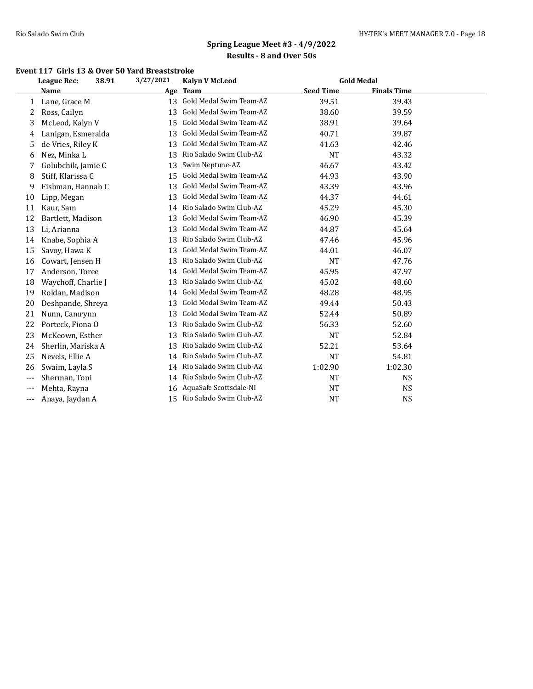#### **Event 117 Girls 13 & Over 50 Yard Breaststroke**

|       | League Rec:         | 38.91 | 3/27/2021 | <b>Kalyn V McLeod</b>      |                  | <b>Gold Medal</b>  |  |
|-------|---------------------|-------|-----------|----------------------------|------------------|--------------------|--|
|       | Name                |       | Age       | <b>Team</b>                | <b>Seed Time</b> | <b>Finals Time</b> |  |
| 1     | Lane, Grace M       |       | 13        | Gold Medal Swim Team-AZ    | 39.51            | 39.43              |  |
| 2     | Ross, Cailyn        |       | 13        | Gold Medal Swim Team-AZ    | 38.60            | 39.59              |  |
| 3     | McLeod, Kalyn V     |       | 15        | Gold Medal Swim Team-AZ    | 38.91            | 39.64              |  |
| 4     | Lanigan, Esmeralda  |       | 13        | Gold Medal Swim Team-AZ    | 40.71            | 39.87              |  |
| 5     | de Vries, Riley K   |       | 13        | Gold Medal Swim Team-AZ    | 41.63            | 42.46              |  |
| 6     | Nez, Minka L        |       | 13        | Rio Salado Swim Club-AZ    | <b>NT</b>        | 43.32              |  |
|       | Golubchik, Jamie C  |       | 13        | Swim Neptune-AZ            | 46.67            | 43.42              |  |
| 8     | Stiff, Klarissa C   |       | 15        | Gold Medal Swim Team-AZ    | 44.93            | 43.90              |  |
| 9     | Fishman, Hannah C   |       | 13        | Gold Medal Swim Team-AZ    | 43.39            | 43.96              |  |
| 10    | Lipp, Megan         |       | 13        | Gold Medal Swim Team-AZ    | 44.37            | 44.61              |  |
| 11    | Kaur, Sam           |       | 14        | Rio Salado Swim Club-AZ    | 45.29            | 45.30              |  |
| 12    | Bartlett, Madison   |       | 13        | Gold Medal Swim Team-AZ    | 46.90            | 45.39              |  |
| 13    | Li, Arianna         |       | 13        | Gold Medal Swim Team-AZ    | 44.87            | 45.64              |  |
| 14    | Knabe, Sophia A     |       | 13        | Rio Salado Swim Club-AZ    | 47.46            | 45.96              |  |
| 15    | Savoy, Hawa K       |       | 13        | Gold Medal Swim Team-AZ    | 44.01            | 46.07              |  |
| 16    | Cowart, Jensen H    |       | 13        | Rio Salado Swim Club-AZ    | NT               | 47.76              |  |
| 17    | Anderson, Toree     |       | 14        | Gold Medal Swim Team-AZ    | 45.95            | 47.97              |  |
| 18    | Waychoff, Charlie J |       | 13        | Rio Salado Swim Club-AZ    | 45.02            | 48.60              |  |
| 19    | Roldan, Madison     |       | 14        | Gold Medal Swim Team-AZ    | 48.28            | 48.95              |  |
| 20    | Deshpande, Shreya   |       | 13        | Gold Medal Swim Team-AZ    | 49.44            | 50.43              |  |
| 21    | Nunn, Camrynn       |       | 13        | Gold Medal Swim Team-AZ    | 52.44            | 50.89              |  |
| 22    | Porteck, Fiona O    |       | 13        | Rio Salado Swim Club-AZ    | 56.33            | 52.60              |  |
| 23    | McKeown, Esther     |       | 13        | Rio Salado Swim Club-AZ    | <b>NT</b>        | 52.84              |  |
| 24    | Sherlin, Mariska A  |       | 13        | Rio Salado Swim Club-AZ    | 52.21            | 53.64              |  |
| 25    | Nevels, Ellie A     |       |           | 14 Rio Salado Swim Club-AZ | <b>NT</b>        | 54.81              |  |
| 26    | Swaim, Layla S      |       | 14        | Rio Salado Swim Club-AZ    | 1:02.90          | 1:02.30            |  |
| $---$ | Sherman, Toni       |       | 14        | Rio Salado Swim Club-AZ    | <b>NT</b>        | <b>NS</b>          |  |
| $---$ | Mehta, Rayna        |       | 16        | AquaSafe Scottsdale-NI     | <b>NT</b>        | <b>NS</b>          |  |
| $---$ | Anaya, Jaydan A     |       |           | 15 Rio Salado Swim Club-AZ | <b>NT</b>        | <b>NS</b>          |  |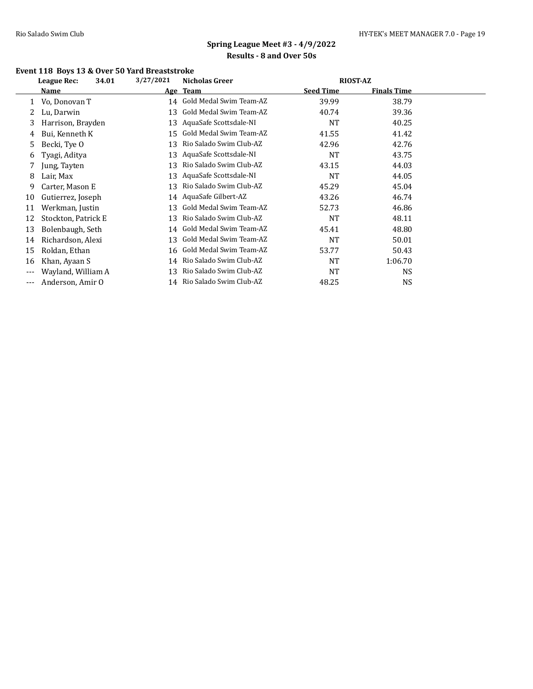## **Event 118 Boys 13 & Over 50 Yard Breaststroke**

|       | 34.01<br>League Rec: | 3/27/2021 | <b>RIOST-AZ</b><br><b>Nicholas Greer</b> |                  |                    |  |
|-------|----------------------|-----------|------------------------------------------|------------------|--------------------|--|
|       | Name                 |           | Age Team                                 | <b>Seed Time</b> | <b>Finals Time</b> |  |
|       | Vo, Donovan T        |           | 14 Gold Medal Swim Team-AZ               | 39.99            | 38.79              |  |
|       | Lu, Darwin           | 13        | Gold Medal Swim Team-AZ                  | 40.74            | 39.36              |  |
| 3     | Harrison, Brayden    | 13        | AquaSafe Scottsdale-NI                   | <b>NT</b>        | 40.25              |  |
| 4     | Bui, Kenneth K       | 15        | Gold Medal Swim Team-AZ                  | 41.55            | 41.42              |  |
| 5     | Becki, Tye O         | 13        | Rio Salado Swim Club-AZ                  | 42.96            | 42.76              |  |
| 6     | Tyagi, Aditya        | 13        | AquaSafe Scottsdale-NI                   | <b>NT</b>        | 43.75              |  |
|       | Jung, Tayten         | 13        | Rio Salado Swim Club-AZ                  | 43.15            | 44.03              |  |
| 8     | Lair, Max            | 13        | AquaSafe Scottsdale-NI                   | <b>NT</b>        | 44.05              |  |
| 9     | Carter, Mason E      | 13        | Rio Salado Swim Club-AZ                  | 45.29            | 45.04              |  |
| 10    | Gutierrez, Joseph    | 14        | AquaSafe Gilbert-AZ                      | 43.26            | 46.74              |  |
| 11    | Werkman, Justin      | 13        | Gold Medal Swim Team-AZ                  | 52.73            | 46.86              |  |
| 12    | Stockton, Patrick E  | 13        | Rio Salado Swim Club-AZ                  | <b>NT</b>        | 48.11              |  |
| 13    | Bolenbaugh, Seth     | 14        | Gold Medal Swim Team-AZ                  | 45.41            | 48.80              |  |
| 14    | Richardson, Alexi    | 13        | Gold Medal Swim Team-AZ                  | NT               | 50.01              |  |
| 15    | Roldan, Ethan        | 16        | Gold Medal Swim Team-AZ                  | 53.77            | 50.43              |  |
| 16    | Khan, Ayaan S        | 14        | Rio Salado Swim Club-AZ                  | <b>NT</b>        | 1:06.70            |  |
| $---$ | Wayland, William A   | 13        | Rio Salado Swim Club-AZ                  | NT               | <b>NS</b>          |  |
| ---   | Anderson, Amir O     |           | 14 Rio Salado Swim Club-AZ               | 48.25            | <b>NS</b>          |  |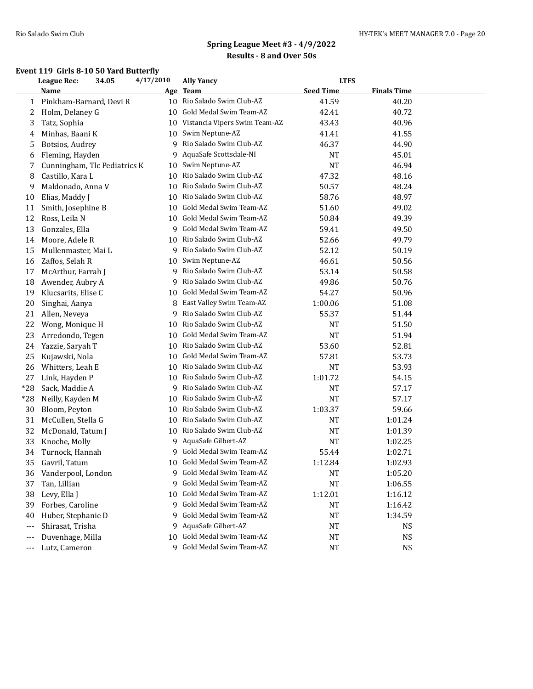#### **Event 119 Girls 8-10 50 Yard Butterfly**

|       | League Rec:                  | 34.05 | 4/17/2010  | <b>Ally Yancy</b>             | <b>LTFS</b>      |                    |  |
|-------|------------------------------|-------|------------|-------------------------------|------------------|--------------------|--|
|       | Name                         |       | <u>Age</u> | <b>Team</b>                   | <b>Seed Time</b> | <b>Finals Time</b> |  |
| 1     | Pinkham-Barnard, Devi R      |       | 10         | Rio Salado Swim Club-AZ       | 41.59            | 40.20              |  |
| 2     | Holm, Delaney G              |       | 10         | Gold Medal Swim Team-AZ       | 42.41            | 40.72              |  |
| 3     | Tatz, Sophia                 |       | 10         | Vistancia Vipers Swim Team-AZ | 43.43            | 40.96              |  |
| 4     | Minhas, Baani K              |       | 10         | Swim Neptune-AZ               | 41.41            | 41.55              |  |
| 5     | Botsios, Audrey              |       | 9          | Rio Salado Swim Club-AZ       | 46.37            | 44.90              |  |
| 6     | Fleming, Hayden              |       | 9          | AquaSafe Scottsdale-NI        | NT               | 45.01              |  |
| 7     | Cunningham, Tlc Pediatrics K |       | 10         | Swim Neptune-AZ               | <b>NT</b>        | 46.94              |  |
| 8     | Castillo, Kara L             |       | 10         | Rio Salado Swim Club-AZ       | 47.32            | 48.16              |  |
| 9     | Maldonado, Anna V            |       | 10         | Rio Salado Swim Club-AZ       | 50.57            | 48.24              |  |
| 10    | Elias, Maddy J               |       | 10         | Rio Salado Swim Club-AZ       | 58.76            | 48.97              |  |
| 11    | Smith, Josephine B           |       | 10         | Gold Medal Swim Team-AZ       | 51.60            | 49.02              |  |
| 12    | Ross, Leila N                |       | 10         | Gold Medal Swim Team-AZ       | 50.84            | 49.39              |  |
| 13    | Gonzales, Ella               |       | 9          | Gold Medal Swim Team-AZ       | 59.41            | 49.50              |  |
| 14    | Moore, Adele R               |       | 10         | Rio Salado Swim Club-AZ       | 52.66            | 49.79              |  |
| 15    | Mullenmaster, Mai L          |       | 9          | Rio Salado Swim Club-AZ       | 52.12            | 50.19              |  |
| 16    | Zaffos, Selah R              |       | 10         | Swim Neptune-AZ               | 46.61            | 50.56              |  |
| 17    | McArthur, Farrah J           |       | 9          | Rio Salado Swim Club-AZ       | 53.14            | 50.58              |  |
| 18    | Awender, Aubry A             |       | 9          | Rio Salado Swim Club-AZ       | 49.86            | 50.76              |  |
| 19    | Klucsarits, Elise C          |       | 10         | Gold Medal Swim Team-AZ       | 54.27            | 50.96              |  |
| 20    | Singhai, Aanya               |       | 8          | East Valley Swim Team-AZ      | 1:00.06          | 51.08              |  |
| 21    | Allen, Neveya                |       | 9          | Rio Salado Swim Club-AZ       | 55.37            | 51.44              |  |
| 22    | Wong, Monique H              |       | 10         | Rio Salado Swim Club-AZ       | NT               | 51.50              |  |
| 23    | Arredondo, Tegen             |       | 10         | Gold Medal Swim Team-AZ       | <b>NT</b>        | 51.94              |  |
| 24    | Yazzie, Saryah T             |       | 10         | Rio Salado Swim Club-AZ       | 53.60            | 52.81              |  |
| 25    | Kujawski, Nola               |       | 10         | Gold Medal Swim Team-AZ       | 57.81            | 53.73              |  |
| 26    | Whitters, Leah E             |       | 10         | Rio Salado Swim Club-AZ       | NT               | 53.93              |  |
| 27    | Link, Hayden P               |       | 10         | Rio Salado Swim Club-AZ       | 1:01.72          | 54.15              |  |
| $*28$ | Sack, Maddie A               |       | 9          | Rio Salado Swim Club-AZ       | <b>NT</b>        | 57.17              |  |
| $*28$ | Neilly, Kayden M             |       | 10         | Rio Salado Swim Club-AZ       | <b>NT</b>        | 57.17              |  |
| 30    | Bloom, Peyton                |       | 10         | Rio Salado Swim Club-AZ       | 1:03.37          | 59.66              |  |
| 31    | McCullen, Stella G           |       | 10         | Rio Salado Swim Club-AZ       | <b>NT</b>        | 1:01.24            |  |
| 32    | McDonald, Tatum J            |       | 10         | Rio Salado Swim Club-AZ       | NT               | 1:01.39            |  |
| 33    | Knoche, Molly                |       | 9          | AquaSafe Gilbert-AZ           | <b>NT</b>        | 1:02.25            |  |
| 34    | Turnock, Hannah              |       | 9          | Gold Medal Swim Team-AZ       | 55.44            | 1:02.71            |  |
| 35    | Gavril, Tatum                |       | 10         | Gold Medal Swim Team-AZ       | 1:12.84          | 1:02.93            |  |
| 36    | Vanderpool, London           |       | 9.         | Gold Medal Swim Team-AZ       | NT               | 1:05.20            |  |
| 37    | Tan, Lillian                 |       | 9          | Gold Medal Swim Team-AZ       | <b>NT</b>        | 1:06.55            |  |
| 38    | Levy, Ella J                 |       | 10         | Gold Medal Swim Team-AZ       | 1:12.01          | 1:16.12            |  |
| 39    | Forbes, Caroline             |       | 9          | Gold Medal Swim Team-AZ       | <b>NT</b>        | 1:16.42            |  |
| 40    | Huber, Stephanie D           |       | 9          | Gold Medal Swim Team-AZ       | NT               | 1:34.59            |  |
| ---   | Shirasat, Trisha             |       | 9          | AquaSafe Gilbert-AZ           | <b>NT</b>        | NS                 |  |
| ---   | Duvenhage, Milla             |       | 10         | Gold Medal Swim Team-AZ       | NT               | <b>NS</b>          |  |
| ---   | Lutz, Cameron                |       |            | 9 Gold Medal Swim Team-AZ     | <b>NT</b>        | NS                 |  |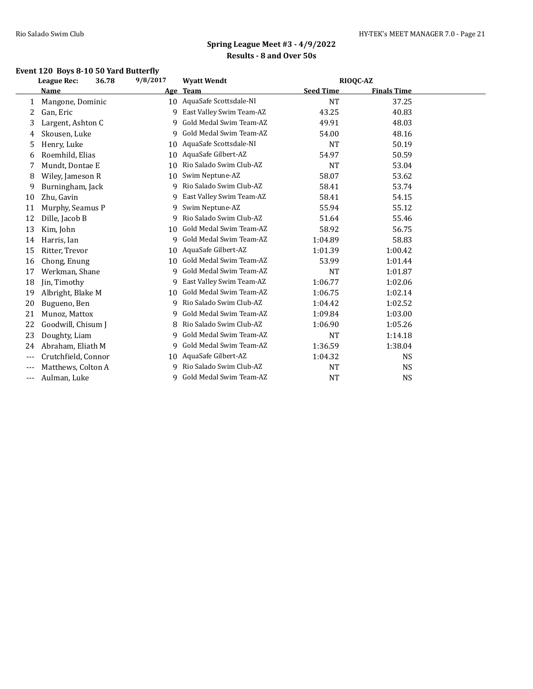## **Event 120 Boys 8-10 50 Yard Butterfly**

|       | 36.78<br>League Rec: | 9/8/2017 | <b>Wyatt Wendt</b>         | RIOQC-AZ         |                    |  |
|-------|----------------------|----------|----------------------------|------------------|--------------------|--|
|       | Name                 | Age      | <b>Team</b>                | <b>Seed Time</b> | <b>Finals Time</b> |  |
| 1     | Mangone, Dominic     |          | 10 AquaSafe Scottsdale-NI  | <b>NT</b>        | 37.25              |  |
| 2     | Gan, Eric            |          | 9 East Valley Swim Team-AZ | 43.25            | 40.83              |  |
| 3     | Largent, Ashton C    | 9        | Gold Medal Swim Team-AZ    | 49.91            | 48.03              |  |
| 4     | Skousen, Luke        | 9        | Gold Medal Swim Team-AZ    | 54.00            | 48.16              |  |
| 5     | Henry, Luke          | 10       | AquaSafe Scottsdale-NI     | <b>NT</b>        | 50.19              |  |
| 6     | Roemhild, Elias      | 10       | AquaSafe Gilbert-AZ        | 54.97            | 50.59              |  |
| 7     | Mundt, Dontae E      | 10       | Rio Salado Swim Club-AZ    | <b>NT</b>        | 53.04              |  |
| 8     | Wiley, Jameson R     | 10       | Swim Neptune-AZ            | 58.07            | 53.62              |  |
| 9     | Burningham, Jack     | 9        | Rio Salado Swim Club-AZ    | 58.41            | 53.74              |  |
| 10    | Zhu, Gavin           | 9        | East Valley Swim Team-AZ   | 58.41            | 54.15              |  |
| 11    | Murphy, Seamus P     | 9        | Swim Neptune-AZ            | 55.94            | 55.12              |  |
| 12    | Dille, Jacob B       | 9        | Rio Salado Swim Club-AZ    | 51.64            | 55.46              |  |
| 13    | Kim, John            | 10       | Gold Medal Swim Team-AZ    | 58.92            | 56.75              |  |
| 14    | Harris, Ian          | 9        | Gold Medal Swim Team-AZ    | 1:04.89          | 58.83              |  |
| 15    | Ritter, Trevor       | 10       | AquaSafe Gilbert-AZ        | 1:01.39          | 1:00.42            |  |
| 16    | Chong, Enung         | 10       | Gold Medal Swim Team-AZ    | 53.99            | 1:01.44            |  |
| 17    | Werkman, Shane       | 9        | Gold Medal Swim Team-AZ    | <b>NT</b>        | 1:01.87            |  |
| 18    | Jin, Timothy         | 9        | East Valley Swim Team-AZ   | 1:06.77          | 1:02.06            |  |
| 19    | Albright, Blake M    | 10       | Gold Medal Swim Team-AZ    | 1:06.75          | 1:02.14            |  |
| 20    | Bugueno, Ben         | 9        | Rio Salado Swim Club-AZ    | 1:04.42          | 1:02.52            |  |
| 21    | Munoz, Mattox        | 9        | Gold Medal Swim Team-AZ    | 1:09.84          | 1:03.00            |  |
| 22    | Goodwill, Chisum J   | 8        | Rio Salado Swim Club-AZ    | 1:06.90          | 1:05.26            |  |
| 23    | Doughty, Liam        | 9        | Gold Medal Swim Team-AZ    | <b>NT</b>        | 1:14.18            |  |
| 24    | Abraham, Eliath M    | 9        | Gold Medal Swim Team-AZ    | 1:36.59          | 1:38.04            |  |
| $---$ | Crutchfield, Connor  | 10       | AquaSafe Gilbert-AZ        | 1:04.32          | <b>NS</b>          |  |
| $---$ | Matthews, Colton A   | 9        | Rio Salado Swim Club-AZ    | <b>NT</b>        | <b>NS</b>          |  |
| $---$ | Aulman, Luke         | q        | Gold Medal Swim Team-AZ    | <b>NT</b>        | <b>NS</b>          |  |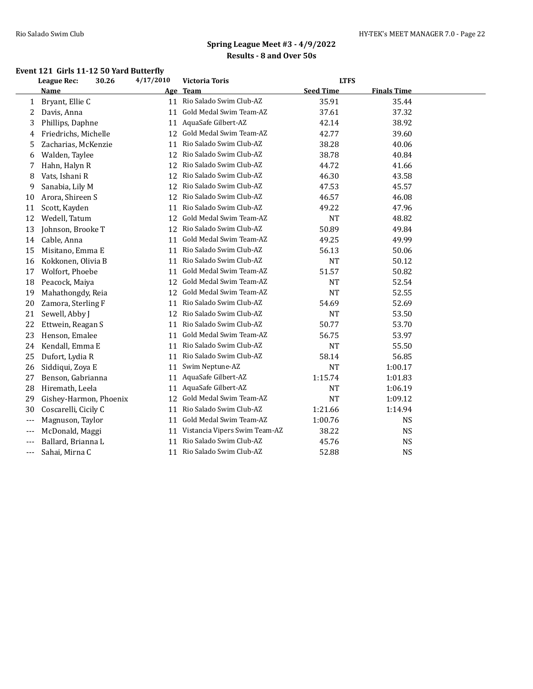### **Event 121 Girls 11-12 50 Yard Butterfly**

|       | <b>League Rec:</b><br>30.26 | 4/17/2010 | <b>Victoria Toris</b>            | <b>LTFS</b>      |                    |  |
|-------|-----------------------------|-----------|----------------------------------|------------------|--------------------|--|
|       | Name                        |           | Age Team                         | <b>Seed Time</b> | <b>Finals Time</b> |  |
| 1     | Bryant, Ellie C             | 11        | Rio Salado Swim Club-AZ          | 35.91            | 35.44              |  |
| 2     | Davis, Anna                 | 11        | Gold Medal Swim Team-AZ          | 37.61            | 37.32              |  |
| 3     | Phillips, Daphne            | 11        | AquaSafe Gilbert-AZ              | 42.14            | 38.92              |  |
| 4     | Friedrichs, Michelle        | 12        | Gold Medal Swim Team-AZ          | 42.77            | 39.60              |  |
| 5     | Zacharias, McKenzie         | 11        | Rio Salado Swim Club-AZ          | 38.28            | 40.06              |  |
| 6     | Walden, Taylee              | 12        | Rio Salado Swim Club-AZ          | 38.78            | 40.84              |  |
| 7     | Hahn, Halyn R               | 12        | Rio Salado Swim Club-AZ          | 44.72            | 41.66              |  |
| 8     | Vats, Ishani R              | 12        | Rio Salado Swim Club-AZ          | 46.30            | 43.58              |  |
| 9     | Sanabia, Lily M             | 12        | Rio Salado Swim Club-AZ          | 47.53            | 45.57              |  |
| 10    | Arora, Shireen S            |           | 12 Rio Salado Swim Club-AZ       | 46.57            | 46.08              |  |
| 11    | Scott, Kayden               | 11        | Rio Salado Swim Club-AZ          | 49.22            | 47.96              |  |
| 12    | Wedell, Tatum               | 12        | Gold Medal Swim Team-AZ          | <b>NT</b>        | 48.82              |  |
| 13    | Johnson, Brooke T           | 12        | Rio Salado Swim Club-AZ          | 50.89            | 49.84              |  |
| 14    | Cable, Anna                 | 11        | Gold Medal Swim Team-AZ          | 49.25            | 49.99              |  |
| 15    | Misitano, Emma E            | 11        | Rio Salado Swim Club-AZ          | 56.13            | 50.06              |  |
| 16    | Kokkonen, Olivia B          | 11        | Rio Salado Swim Club-AZ          | <b>NT</b>        | 50.12              |  |
| 17    | Wolfort, Phoebe             | 11        | Gold Medal Swim Team-AZ          | 51.57            | 50.82              |  |
| 18    | Peacock, Maiya              | 12        | Gold Medal Swim Team-AZ          | <b>NT</b>        | 52.54              |  |
| 19    | Mahathongdy, Reia           | 12        | Gold Medal Swim Team-AZ          | <b>NT</b>        | 52.55              |  |
| 20    | Zamora, Sterling F          | 11        | Rio Salado Swim Club-AZ          | 54.69            | 52.69              |  |
| 21    | Sewell, Abby J              | 12        | Rio Salado Swim Club-AZ          | <b>NT</b>        | 53.50              |  |
| 22    | Ettwein, Reagan S           | 11        | Rio Salado Swim Club-AZ          | 50.77            | 53.70              |  |
| 23    | Henson, Emalee              | 11        | Gold Medal Swim Team-AZ          | 56.75            | 53.97              |  |
| 24    | Kendall, Emma E             | 11        | Rio Salado Swim Club-AZ          | <b>NT</b>        | 55.50              |  |
| 25    | Dufort, Lydia R             | 11        | Rio Salado Swim Club-AZ          | 58.14            | 56.85              |  |
| 26    | Siddiqui, Zoya E            | 11        | Swim Neptune-AZ                  | <b>NT</b>        | 1:00.17            |  |
| 27    | Benson, Gabrianna           | 11        | AquaSafe Gilbert-AZ              | 1:15.74          | 1:01.83            |  |
| 28    | Hiremath, Leela             | 11        | AquaSafe Gilbert-AZ              | <b>NT</b>        | 1:06.19            |  |
| 29    | Gishey-Harmon, Phoenix      | 12        | Gold Medal Swim Team-AZ          | <b>NT</b>        | 1:09.12            |  |
| 30    | Coscarelli, Cicily C        | 11        | Rio Salado Swim Club-AZ          | 1:21.66          | 1:14.94            |  |
| $---$ | Magnuson, Taylor            | 11        | Gold Medal Swim Team-AZ          | 1:00.76          | <b>NS</b>          |  |
| $---$ | McDonald, Maggi             |           | 11 Vistancia Vipers Swim Team-AZ | 38.22            | <b>NS</b>          |  |
| $---$ | Ballard, Brianna L          | 11        | Rio Salado Swim Club-AZ          | 45.76            | <b>NS</b>          |  |
| ---   | Sahai, Mirna C              |           | 11 Rio Salado Swim Club-AZ       | 52.88            | <b>NS</b>          |  |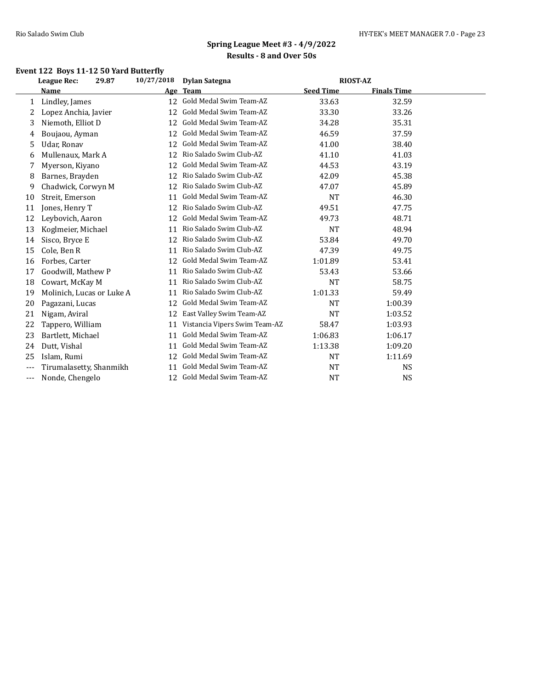## **Event 122 Boys 11-12 50 Yard Butterfly**

|       | <b>League Rec:</b><br>29.87 | 10/27/2018 | <b>Dylan Sategna</b>          | <b>RIOST-AZ</b>  |                    |  |
|-------|-----------------------------|------------|-------------------------------|------------------|--------------------|--|
|       | Name                        | Age        | <b>Team</b>                   | <b>Seed Time</b> | <b>Finals Time</b> |  |
| 1     | Lindley, James              | 12         | Gold Medal Swim Team-AZ       | 33.63            | 32.59              |  |
| 2     | Lopez Anchia, Javier        | 12         | Gold Medal Swim Team-AZ       | 33.30            | 33.26              |  |
| 3     | Niemoth, Elliot D           | 12         | Gold Medal Swim Team-AZ       | 34.28            | 35.31              |  |
| 4     | Boujaou, Ayman              | 12         | Gold Medal Swim Team-AZ       | 46.59            | 37.59              |  |
| 5     | Udar, Ronav                 | 12         | Gold Medal Swim Team-AZ       | 41.00            | 38.40              |  |
| 6     | Mullenaux, Mark A           | 12         | Rio Salado Swim Club-AZ       | 41.10            | 41.03              |  |
| 7     | Myerson, Kiyano             | 12         | Gold Medal Swim Team-AZ       | 44.53            | 43.19              |  |
| 8     | Barnes, Brayden             | 12         | Rio Salado Swim Club-AZ       | 42.09            | 45.38              |  |
| 9     | Chadwick, Corwyn M          | 12         | Rio Salado Swim Club-AZ       | 47.07            | 45.89              |  |
| 10    | Streit, Emerson             | 11         | Gold Medal Swim Team-AZ       | <b>NT</b>        | 46.30              |  |
| 11    | Jones, Henry T              | 12         | Rio Salado Swim Club-AZ       | 49.51            | 47.75              |  |
| 12    | Leybovich, Aaron            | 12         | Gold Medal Swim Team-AZ       | 49.73            | 48.71              |  |
| 13    | Koglmeier, Michael          | 11         | Rio Salado Swim Club-AZ       | <b>NT</b>        | 48.94              |  |
| 14    | Sisco, Bryce E              | 12         | Rio Salado Swim Club-AZ       | 53.84            | 49.70              |  |
| 15    | Cole, Ben R                 | 11         | Rio Salado Swim Club-AZ       | 47.39            | 49.75              |  |
| 16    | Forbes, Carter              | 12         | Gold Medal Swim Team-AZ       | 1:01.89          | 53.41              |  |
| 17    | Goodwill, Mathew P          | 11         | Rio Salado Swim Club-AZ       | 53.43            | 53.66              |  |
| 18    | Cowart, McKay M             | 11         | Rio Salado Swim Club-AZ       | <b>NT</b>        | 58.75              |  |
| 19    | Molinich, Lucas or Luke A   | 11         | Rio Salado Swim Club-AZ       | 1:01.33          | 59.49              |  |
| 20    | Pagazani, Lucas             | 12         | Gold Medal Swim Team-AZ       | <b>NT</b>        | 1:00.39            |  |
| 21    | Nigam, Aviral               | 12         | East Valley Swim Team-AZ      | <b>NT</b>        | 1:03.52            |  |
| 22    | Tappero, William            | 11         | Vistancia Vipers Swim Team-AZ | 58.47            | 1:03.93            |  |
| 23    | Bartlett, Michael           | 11         | Gold Medal Swim Team-AZ       | 1:06.83          | 1:06.17            |  |
| 24    | Dutt, Vishal                | 11         | Gold Medal Swim Team-AZ       | 1:13.38          | 1:09.20            |  |
| 25    | Islam, Rumi                 | 12         | Gold Medal Swim Team-AZ       | <b>NT</b>        | 1:11.69            |  |
| $---$ | Tirumalasetty, Shanmikh     | 11         | Gold Medal Swim Team-AZ       | <b>NT</b>        | <b>NS</b>          |  |
| $---$ | Nonde, Chengelo             | 12         | Gold Medal Swim Team-AZ       | <b>NT</b>        | <b>NS</b>          |  |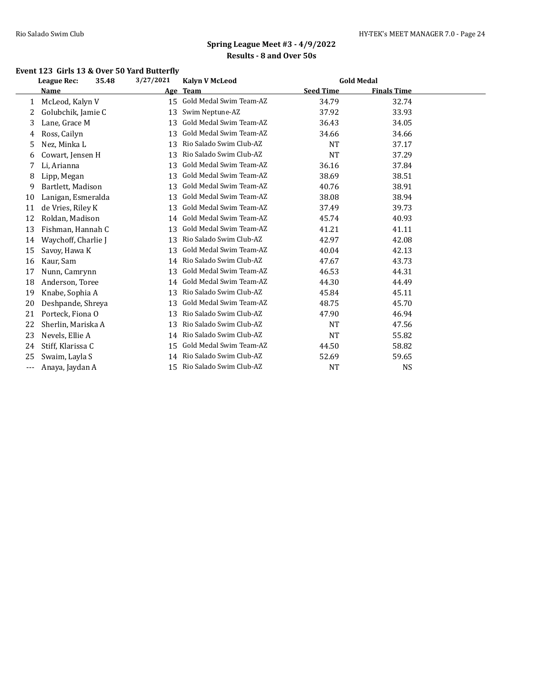## **Event 123 Girls 13 & Over 50 Yard Butterfly**

|       | 35.48<br>League Rec: |  | 3/27/2021 | <b>Kalyn V McLeod</b>   |                  | <b>Gold Medal</b>  |  |
|-------|----------------------|--|-----------|-------------------------|------------------|--------------------|--|
|       | Name                 |  | Age       | <b>Team</b>             | <b>Seed Time</b> | <b>Finals Time</b> |  |
| 1     | McLeod, Kalyn V      |  | 15        | Gold Medal Swim Team-AZ | 34.79            | 32.74              |  |
| 2     | Golubchik, Jamie C   |  | 13        | Swim Neptune-AZ         | 37.92            | 33.93              |  |
| 3     | Lane, Grace M        |  | 13        | Gold Medal Swim Team-AZ | 36.43            | 34.05              |  |
| 4     | Ross, Cailyn         |  | 13        | Gold Medal Swim Team-AZ | 34.66            | 34.66              |  |
| 5     | Nez, Minka L         |  | 13        | Rio Salado Swim Club-AZ | <b>NT</b>        | 37.17              |  |
| 6     | Cowart, Jensen H     |  | 13        | Rio Salado Swim Club-AZ | <b>NT</b>        | 37.29              |  |
|       | Li, Arianna          |  | 13        | Gold Medal Swim Team-AZ | 36.16            | 37.84              |  |
| 8     | Lipp, Megan          |  | 13        | Gold Medal Swim Team-AZ | 38.69            | 38.51              |  |
| 9     | Bartlett, Madison    |  | 13        | Gold Medal Swim Team-AZ | 40.76            | 38.91              |  |
| 10    | Lanigan, Esmeralda   |  | 13        | Gold Medal Swim Team-AZ | 38.08            | 38.94              |  |
| 11    | de Vries, Riley K    |  | 13        | Gold Medal Swim Team-AZ | 37.49            | 39.73              |  |
| 12    | Roldan, Madison      |  | 14        | Gold Medal Swim Team-AZ | 45.74            | 40.93              |  |
| 13    | Fishman, Hannah C    |  | 13        | Gold Medal Swim Team-AZ | 41.21            | 41.11              |  |
| 14    | Waychoff, Charlie J  |  | 13        | Rio Salado Swim Club-AZ | 42.97            | 42.08              |  |
| 15    | Savoy, Hawa K        |  | 13        | Gold Medal Swim Team-AZ | 40.04            | 42.13              |  |
| 16    | Kaur, Sam            |  | 14        | Rio Salado Swim Club-AZ | 47.67            | 43.73              |  |
| 17    | Nunn, Camrynn        |  | 13        | Gold Medal Swim Team-AZ | 46.53            | 44.31              |  |
| 18    | Anderson, Toree      |  | 14        | Gold Medal Swim Team-AZ | 44.30            | 44.49              |  |
| 19    | Knabe, Sophia A      |  | 13        | Rio Salado Swim Club-AZ | 45.84            | 45.11              |  |
| 20    | Deshpande, Shreya    |  | 13        | Gold Medal Swim Team-AZ | 48.75            | 45.70              |  |
| 21    | Porteck, Fiona O     |  | 13        | Rio Salado Swim Club-AZ | 47.90            | 46.94              |  |
| 22    | Sherlin, Mariska A   |  | 13        | Rio Salado Swim Club-AZ | <b>NT</b>        | 47.56              |  |
| 23    | Nevels, Ellie A      |  | 14        | Rio Salado Swim Club-AZ | <b>NT</b>        | 55.82              |  |
| 24    | Stiff, Klarissa C    |  | 15        | Gold Medal Swim Team-AZ | 44.50            | 58.82              |  |
| 25    | Swaim, Layla S       |  | 14        | Rio Salado Swim Club-AZ | 52.69            | 59.65              |  |
| $---$ | Anaya, Jaydan A      |  | 15        | Rio Salado Swim Club-AZ | <b>NT</b>        | <b>NS</b>          |  |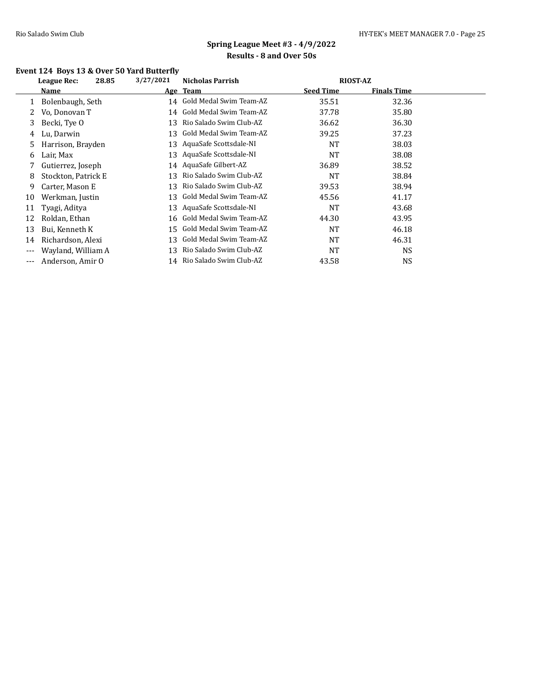## **Event 124 Boys 13 & Over 50 Yard Butterfly**

|     | 28.85<br>League Rec: | 3/27/2021 | Nicholas Parrish        | <b>RIOST-AZ</b>  |                    |  |
|-----|----------------------|-----------|-------------------------|------------------|--------------------|--|
|     | <b>Name</b>          |           | Age Team                | <b>Seed Time</b> | <b>Finals Time</b> |  |
|     | Bolenbaugh, Seth     | 14        | Gold Medal Swim Team-AZ | 35.51            | 32.36              |  |
| 2   | Vo, Donovan T        | 14        | Gold Medal Swim Team-AZ | 37.78            | 35.80              |  |
| 3   | Becki, Tye O         | 13        | Rio Salado Swim Club-AZ | 36.62            | 36.30              |  |
| 4   | Lu, Darwin           | 13        | Gold Medal Swim Team-AZ | 39.25            | 37.23              |  |
| 5   | Harrison, Brayden    | 13        | AquaSafe Scottsdale-NI  | <b>NT</b>        | 38.03              |  |
| 6   | Lair, Max            | 13        | AquaSafe Scottsdale-NI  | NT               | 38.08              |  |
|     | Gutierrez, Joseph    | 14        | AquaSafe Gilbert-AZ     | 36.89            | 38.52              |  |
| 8   | Stockton, Patrick E  | 13        | Rio Salado Swim Club-AZ | <b>NT</b>        | 38.84              |  |
| 9   | Carter, Mason E      | 13        | Rio Salado Swim Club-AZ | 39.53            | 38.94              |  |
| 10  | Werkman, Justin      | 13        | Gold Medal Swim Team-AZ | 45.56            | 41.17              |  |
| 11  | Tyagi, Aditya        | 13        | AquaSafe Scottsdale-NI  | <b>NT</b>        | 43.68              |  |
| 12  | Roldan, Ethan        | 16        | Gold Medal Swim Team-AZ | 44.30            | 43.95              |  |
| 13  | Bui, Kenneth K       | 15        | Gold Medal Swim Team-AZ | <b>NT</b>        | 46.18              |  |
| 14  | Richardson, Alexi    | 13        | Gold Medal Swim Team-AZ | NT               | 46.31              |  |
| --- | Wayland, William A   | 13        | Rio Salado Swim Club-AZ | NT               | <b>NS</b>          |  |
| --- | Anderson, Amir O     | 14        | Rio Salado Swim Club-AZ | 43.58            | <b>NS</b>          |  |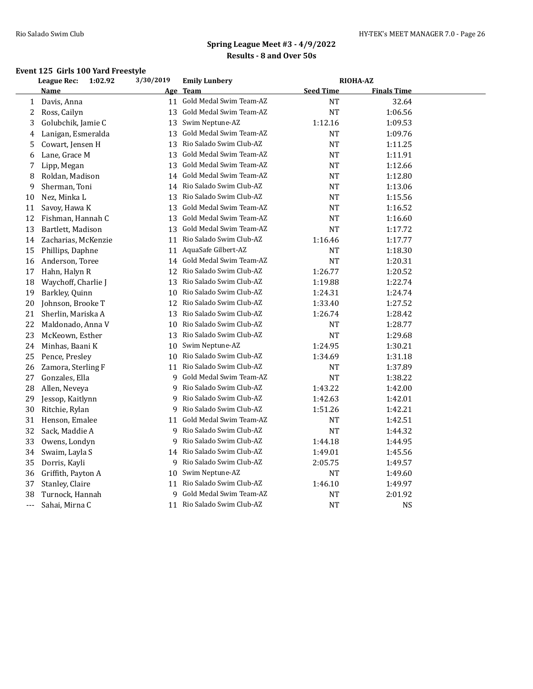### **Event 125 Girls 100 Yard Freestyle**

|     | <b>League Rec:</b><br>1:02.92 | 3/30/2019 | <b>Emily Lunbery</b>       |                  | <b>RIOHA-AZ</b>    |  |
|-----|-------------------------------|-----------|----------------------------|------------------|--------------------|--|
|     | Name                          |           | <u>Age Team</u>            | <b>Seed Time</b> | <b>Finals Time</b> |  |
| 1   | Davis, Anna                   | 11        | Gold Medal Swim Team-AZ    | NT               | 32.64              |  |
| 2   | Ross, Cailyn                  | 13        | Gold Medal Swim Team-AZ    | <b>NT</b>        | 1:06.56            |  |
| 3   | Golubchik, Jamie C            | 13        | Swim Neptune-AZ            | 1:12.16          | 1:09.53            |  |
| 4   | Lanigan, Esmeralda            | 13        | Gold Medal Swim Team-AZ    | <b>NT</b>        | 1:09.76            |  |
| 5   | Cowart, Jensen H              |           | 13 Rio Salado Swim Club-AZ | NT               | 1:11.25            |  |
| 6   | Lane, Grace M                 | 13        | Gold Medal Swim Team-AZ    | NT               | 1:11.91            |  |
| 7   | Lipp, Megan                   | 13        | Gold Medal Swim Team-AZ    | NT               | 1:12.66            |  |
| 8   | Roldan, Madison               | 14        | Gold Medal Swim Team-AZ    | <b>NT</b>        | 1:12.80            |  |
| 9   | Sherman, Toni                 | 14        | Rio Salado Swim Club-AZ    | NT               | 1:13.06            |  |
| 10  | Nez, Minka L                  | 13        | Rio Salado Swim Club-AZ    | NT               | 1:15.56            |  |
| 11  | Savoy, Hawa K                 | 13        | Gold Medal Swim Team-AZ    | NT               | 1:16.52            |  |
| 12  | Fishman, Hannah C             | 13        | Gold Medal Swim Team-AZ    | NT               | 1:16.60            |  |
| 13  | Bartlett, Madison             |           | 13 Gold Medal Swim Team-AZ | NT               | 1:17.72            |  |
| 14  | Zacharias, McKenzie           | 11        | Rio Salado Swim Club-AZ    | 1:16.46          | 1:17.77            |  |
| 15  | Phillips, Daphne              |           | 11 AquaSafe Gilbert-AZ     | <b>NT</b>        | 1:18.30            |  |
| 16  | Anderson, Toree               | 14        | Gold Medal Swim Team-AZ    | <b>NT</b>        | 1:20.31            |  |
| 17  | Hahn, Halyn R                 | 12        | Rio Salado Swim Club-AZ    | 1:26.77          | 1:20.52            |  |
| 18  | Waychoff, Charlie J           |           | 13 Rio Salado Swim Club-AZ | 1:19.88          | 1:22.74            |  |
| 19  | Barkley, Quinn                | 10        | Rio Salado Swim Club-AZ    | 1:24.31          | 1:24.74            |  |
| 20  | Johnson, Brooke T             | 12        | Rio Salado Swim Club-AZ    | 1:33.40          | 1:27.52            |  |
| 21  | Sherlin, Mariska A            | 13        | Rio Salado Swim Club-AZ    | 1:26.74          | 1:28.42            |  |
| 22  | Maldonado, Anna V             | 10        | Rio Salado Swim Club-AZ    | NT               | 1:28.77            |  |
| 23  | McKeown, Esther               | 13        | Rio Salado Swim Club-AZ    | NT               | 1:29.68            |  |
| 24  | Minhas, Baani K               | 10        | Swim Neptune-AZ            | 1:24.95          | 1:30.21            |  |
| 25  | Pence, Presley                | 10        | Rio Salado Swim Club-AZ    | 1:34.69          | 1:31.18            |  |
| 26  | Zamora, Sterling F            | 11        | Rio Salado Swim Club-AZ    | NT               | 1:37.89            |  |
| 27  | Gonzales, Ella                | 9         | Gold Medal Swim Team-AZ    | NT               | 1:38.22            |  |
| 28  | Allen, Neveya                 | 9         | Rio Salado Swim Club-AZ    | 1:43.22          | 1:42.00            |  |
| 29  | Jessop, Kaitlynn              | 9         | Rio Salado Swim Club-AZ    | 1:42.63          | 1:42.01            |  |
| 30  | Ritchie, Rylan                | 9         | Rio Salado Swim Club-AZ    | 1:51.26          | 1:42.21            |  |
| 31  | Henson, Emalee                | 11        | Gold Medal Swim Team-AZ    | NT               | 1:42.51            |  |
| 32  | Sack, Maddie A                | 9         | Rio Salado Swim Club-AZ    | NT               | 1:44.32            |  |
| 33  | Owens, Londyn                 | 9         | Rio Salado Swim Club-AZ    | 1:44.18          | 1:44.95            |  |
| 34  | Swaim, Layla S                |           | 14 Rio Salado Swim Club-AZ | 1:49.01          | 1:45.56            |  |
| 35  | Dorris, Kayli                 | 9         | Rio Salado Swim Club-AZ    | 2:05.75          | 1:49.57            |  |
| 36  | Griffith, Payton A            | 10        | Swim Neptune-AZ            | NT               | 1:49.60            |  |
| 37  | Stanley, Claire               | 11        | Rio Salado Swim Club-AZ    | 1:46.10          | 1:49.97            |  |
| 38  | Turnock, Hannah               | 9         | Gold Medal Swim Team-AZ    | NΤ               | 2:01.92            |  |
| --- | Sahai, Mirna C                |           | 11 Rio Salado Swim Club-AZ | <b>NT</b>        | <b>NS</b>          |  |